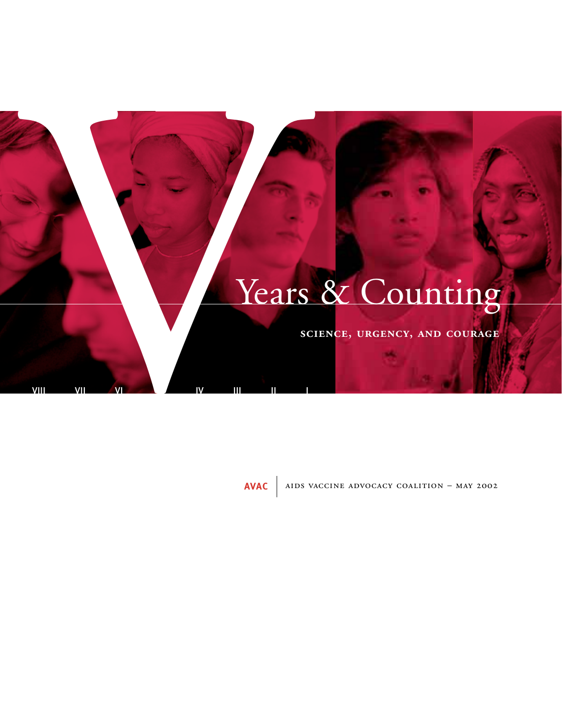# Years & Counting Vears & Counting

VIII VII VII VI IV III II I

**AVAC** AIDS VACCINE ADVOCACY COALITION - MAY 2002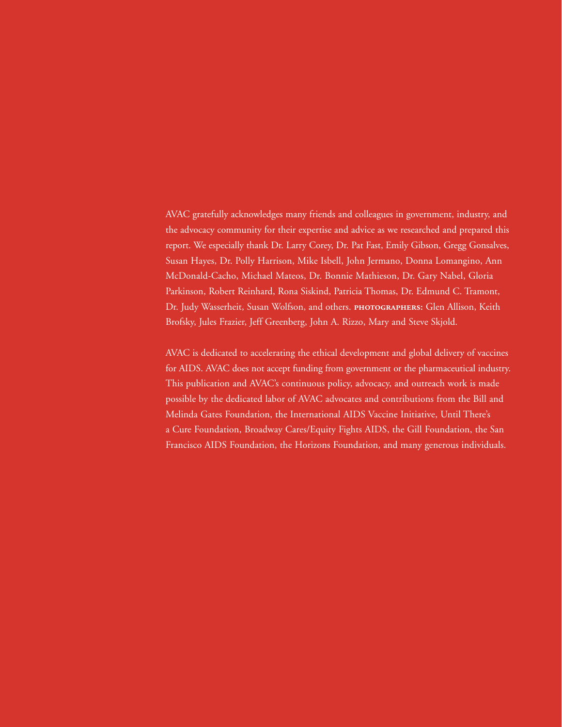AVAC gratefully acknowledges many friends and colleagues in government, industry, and the advocacy community for their expertise and advice as we researched and prepared this report. We especially thank Dr. Larry Corey, Dr. Pat Fast, Emily Gibson, Gregg Gonsalves, Susan Hayes, Dr. Polly Harrison, Mike Isbell, John Jermano, Donna Lomangino, Ann McDonald-Cacho, Michael Mateos, Dr. Bonnie Mathieson, Dr. Gary Nabel, Gloria Parkinson, Robert Reinhard, Rona Siskind, Patricia Thomas, Dr. Edmund C. Tramont, Dr. Judy Wasserheit, Susan Wolfson, and others. PHOTOGRAPHERS: Glen Allison, Keith Brofsky, Jules Frazier, Jeff Greenberg, John A. Rizzo, Mary and Steve Skjold.

AVAC is dedicated to accelerating the ethical development and global delivery of vaccines for AIDS. AVAC does not accept funding from government or the pharmaceutical industry. This publication and AVAC's continuous policy, advocacy, and outreach work is made possible by the dedicated labor of AVAC advocates and contributions from the Bill and Melinda Gates Foundation, the International AIDS Vaccine Initiative, Until There's a Cure Foundation, Broadway Cares/Equity Fights AIDS, the Gill Foundation, the San Francisco AIDS Foundation, the Horizons Foundation, and many generous individuals.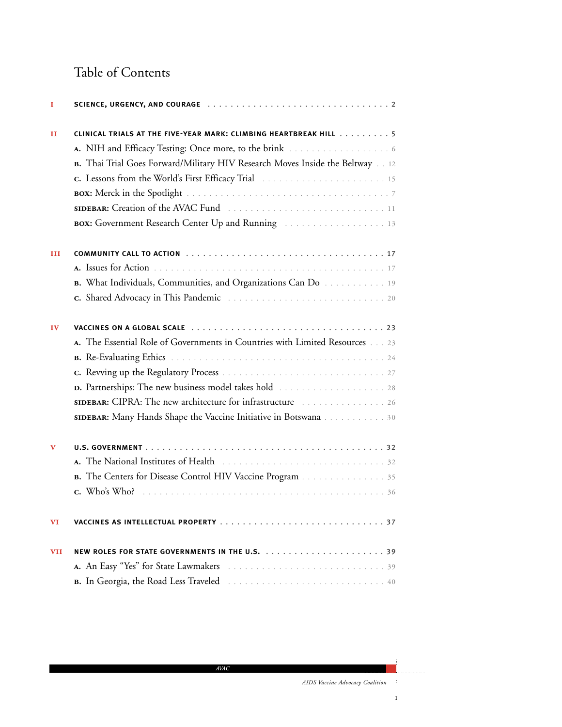### Table of Contents

| 1            |                                                                                                                                |  |  |
|--------------|--------------------------------------------------------------------------------------------------------------------------------|--|--|
| $\mathbf{H}$ | CLINICAL TRIALS AT THE FIVE-YEAR MARK: CLIMBING HEARTBREAK HILL 5                                                              |  |  |
|              |                                                                                                                                |  |  |
|              | B. Thai Trial Goes Forward/Military HIV Research Moves Inside the Beltway 12                                                   |  |  |
|              |                                                                                                                                |  |  |
|              |                                                                                                                                |  |  |
|              |                                                                                                                                |  |  |
|              | BOX: Government Research Center Up and Running [11] Contact Covernment Research Center Up and Running [11] Covernment Research |  |  |
| Ш            |                                                                                                                                |  |  |
|              |                                                                                                                                |  |  |
|              | B. What Individuals, Communities, and Organizations Can Do 19                                                                  |  |  |
|              |                                                                                                                                |  |  |
| IV           |                                                                                                                                |  |  |
|              | A. The Essential Role of Governments in Countries with Limited Resources 23                                                    |  |  |
|              |                                                                                                                                |  |  |
|              |                                                                                                                                |  |  |
|              |                                                                                                                                |  |  |
|              |                                                                                                                                |  |  |
|              | SIDEBAR: Many Hands Shape the Vaccine Initiative in Botswana 30                                                                |  |  |
| v            |                                                                                                                                |  |  |
|              |                                                                                                                                |  |  |
|              | B. The Centers for Disease Control HIV Vaccine Program 35                                                                      |  |  |
|              |                                                                                                                                |  |  |
| <b>VI</b>    |                                                                                                                                |  |  |
| <b>VII</b>   | NEW ROLES FOR STATE GOVERNMENTS IN THE U.S. 39                                                                                 |  |  |
|              |                                                                                                                                |  |  |
|              |                                                                                                                                |  |  |

 $\mathbf I$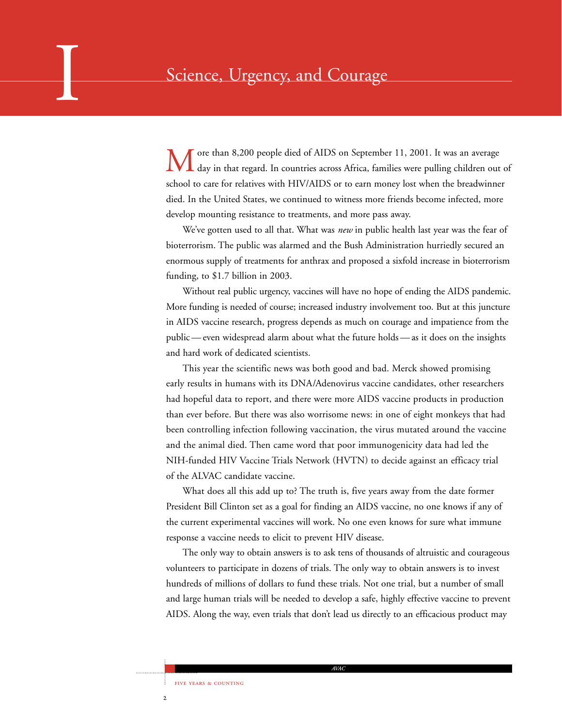ore than 8,200 people died of AIDS on September 11, 2001. It was an average day in that regard. In countries across Africa, families were pulling children out of school to care for relatives with HIV/AIDS or to earn money lost when the breadwinner died. In the United States, we continued to witness more friends become infected, more develop mounting resistance to treatments, and more pass away.

We've gotten used to all that. What was *new* in public health last year was the fear of bioterrorism. The public was alarmed and the Bush Administration hurriedly secured an enormous supply of treatments for anthrax and proposed a sixfold increase in bioterrorism funding, to \$1.7 billion in 2003.

Without real public urgency, vaccines will have no hope of ending the AIDS pandemic. More funding is needed of course; increased industry involvement too. But at this juncture in AIDS vaccine research, progress depends as much on courage and impatience from the public — even widespread alarm about what the future holds — as it does on the insights and hard work of dedicated scientists.

This year the scientific news was both good and bad. Merck showed promising early results in humans with its DNA/Adenovirus vaccine candidates, other researchers had hopeful data to report, and there were more AIDS vaccine products in production than ever before. But there was also worrisome news: in one of eight monkeys that had been controlling infection following vaccination, the virus mutated around the vaccine and the animal died. Then came word that poor immunogenicity data had led the NIH-funded HIV Vaccine Trials Network (HVTN) to decide against an efficacy trial of the ALVAC candidate vaccine.

What does all this add up to? The truth is, five years away from the date former President Bill Clinton set as a goal for finding an AIDS vaccine, no one knows if any of the current experimental vaccines will work. No one even knows for sure what immune response a vaccine needs to elicit to prevent HIV disease.

The only way to obtain answers is to ask tens of thousands of altruistic and courageous volunteers to participate in dozens of trials. The only way to obtain answers is to invest hundreds of millions of dollars to fund these trials. Not one trial, but a number of small and large human trials will be needed to develop a safe, highly effective vaccine to prevent AIDS. Along the way, even trials that don't lead us directly to an efficacious product may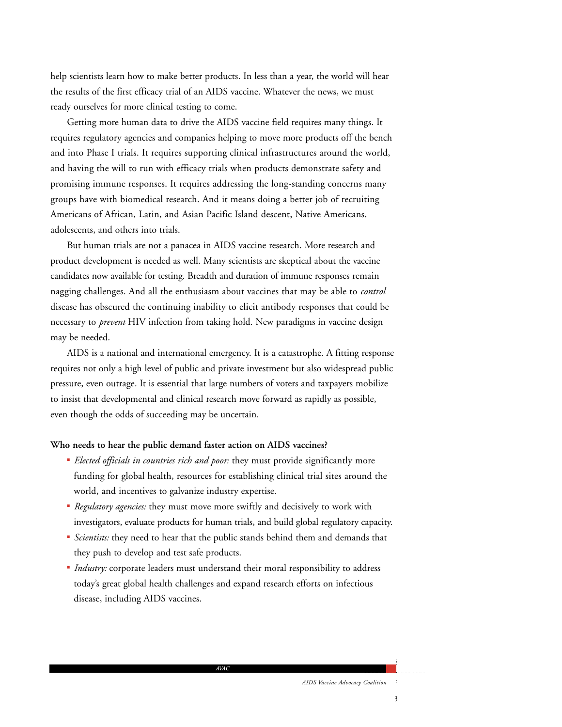help scientists learn how to make better products. In less than a year, the world will hear the results of the first efficacy trial of an AIDS vaccine. Whatever the news, we must ready ourselves for more clinical testing to come.

Getting more human data to drive the AIDS vaccine field requires many things. It requires regulatory agencies and companies helping to move more products off the bench and into Phase I trials. It requires supporting clinical infrastructures around the world, and having the will to run with efficacy trials when products demonstrate safety and promising immune responses. It requires addressing the long-standing concerns many groups have with biomedical research. And it means doing a better job of recruiting Americans of African, Latin, and Asian Pacific Island descent, Native Americans, adolescents, and others into trials.

But human trials are not a panacea in AIDS vaccine research. More research and product development is needed as well. Many scientists are skeptical about the vaccine candidates now available for testing. Breadth and duration of immune responses remain nagging challenges. And all the enthusiasm about vaccines that may be able to *control* disease has obscured the continuing inability to elicit antibody responses that could be necessary to *prevent* HIV infection from taking hold. New paradigms in vaccine design may be needed.

AIDS is a national and international emergency. It is a catastrophe. A fitting response requires not only a high level of public and private investment but also widespread public pressure, even outrage. It is essential that large numbers of voters and taxpayers mobilize to insist that developmental and clinical research move forward as rapidly as possible, even though the odds of succeeding may be uncertain.

### **Who needs to hear the public demand faster action on AIDS vaccines?**

- *Elected officials in countries rich and poor:* they must provide significantly more funding for global health, resources for establishing clinical trial sites around the world, and incentives to galvanize industry expertise.
- *Regulatory agencies:* they must move more swiftly and decisively to work with investigators, evaluate products for human trials, and build global regulatory capacity.
- *Scientists:* they need to hear that the public stands behind them and demands that they push to develop and test safe products.
- *Industry:* corporate leaders must understand their moral responsibility to address today's great global health challenges and expand research efforts on infectious disease, including AIDS vaccines.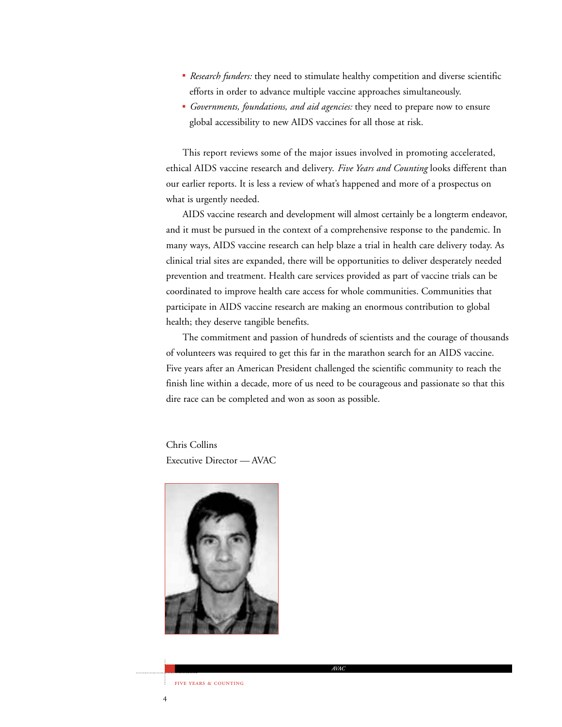- *Research funders:* they need to stimulate healthy competition and diverse scientific efforts in order to advance multiple vaccine approaches simultaneously.
- *Governments, foundations, and aid agencies:* they need to prepare now to ensure global accessibility to new AIDS vaccines for all those at risk.

This report reviews some of the major issues involved in promoting accelerated, ethical AIDS vaccine research and delivery. *Five Years and Counting* looks different than our earlier reports. It is less a review of what's happened and more of a prospectus on what is urgently needed.

AIDS vaccine research and development will almost certainly be a longterm endeavor, and it must be pursued in the context of a comprehensive response to the pandemic. In many ways, AIDS vaccine research can help blaze a trial in health care delivery today. As clinical trial sites are expanded, there will be opportunities to deliver desperately needed prevention and treatment. Health care services provided as part of vaccine trials can be coordinated to improve health care access for whole communities. Communities that participate in AIDS vaccine research are making an enormous contribution to global health; they deserve tangible benefits.

The commitment and passion of hundreds of scientists and the courage of thousands of volunteers was required to get this far in the marathon search for an AIDS vaccine. Five years after an American President challenged the scientific community to reach the finish line within a decade, more of us need to be courageous and passionate so that this dire race can be completed and won as soon as possible.

Chris Collins Executive Director — AVAC



 $\overline{4}$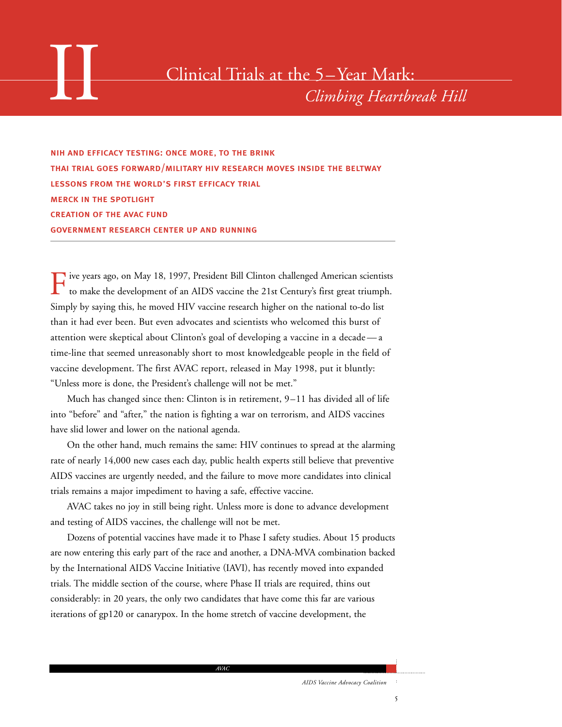nih and efficacy testing: once more, to the brink thai trial goes forward/military hiv research moves inside the beltway lessons from the world's first efficacy trial merck in the spotlight creation of the avac fund government research center up and running

Five years ago, on May 18, 1997, President Bill Clinton challenged American scientists to make the development of an AIDS vaccine the 21st Century's first great triumph. Simply by saying this, he moved HIV vaccine research higher on the national to-do list than it had ever been. But even advocates and scientists who welcomed this burst of attention were skeptical about Clinton's goal of developing a vaccine in a decade — a time-line that seemed unreasonably short to most knowledgeable people in the field of vaccine development. The first AVAC report, released in May 1998, put it bluntly: "Unless more is done, the President's challenge will not be met."

Much has changed since then: Clinton is in retirement, 9–11 has divided all of life into "before" and "after," the nation is fighting a war on terrorism, and AIDS vaccines have slid lower and lower on the national agenda.

On the other hand, much remains the same: HIV continues to spread at the alarming rate of nearly 14,000 new cases each day, public health experts still believe that preventive AIDS vaccines are urgently needed, and the failure to move more candidates into clinical trials remains a major impediment to having a safe, effective vaccine.

AVAC takes no joy in still being right. Unless more is done to advance development and testing of AIDS vaccines, the challenge will not be met.

Dozens of potential vaccines have made it to Phase I safety studies. About 15 products are now entering this early part of the race and another, a DNA-MVA combination backed by the International AIDS Vaccine Initiative (IAVI), has recently moved into expanded trials. The middle section of the course, where Phase II trials are required, thins out considerably: in 20 years, the only two candidates that have come this far are various iterations of gp120 or canarypox. In the home stretch of vaccine development, the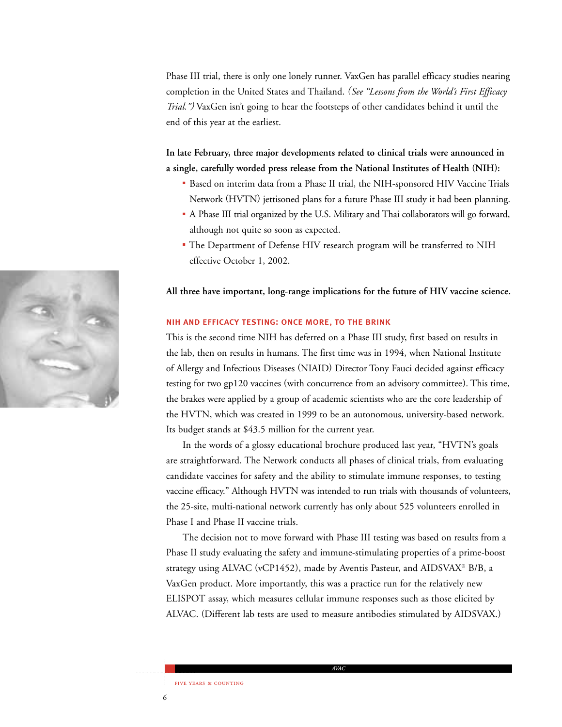Phase III trial, there is only one lonely runner. VaxGen has parallel efficacy studies nearing completion in the United States and Thailand. *(See "Lessons from the World's First Efficacy Trial.")* VaxGen isn't going to hear the footsteps of other candidates behind it until the end of this year at the earliest.

**In late February, three major developments related to clinical trials were announced in a single, carefully worded press release from the National Institutes of Health (NIH):**

- Based on interim data from a Phase II trial, the NIH-sponsored HIV Vaccine Trials Network (HVTN) jettisoned plans for a future Phase III study it had been planning.
- A Phase III trial organized by the U.S. Military and Thai collaborators will go forward, although not quite so soon as expected.
- The Department of Defense HIV research program will be transferred to NIH effective October 1, 2002.

### **All three have important, long-range implications for the future of HIV vaccine science.**

### nih and efficacy testing: once more, to the brink

This is the second time NIH has deferred on a Phase III study, first based on results in the lab, then on results in humans. The first time was in 1994, when National Institute of Allergy and Infectious Diseases (NIAID) Director Tony Fauci decided against efficacy testing for two gp120 vaccines (with concurrence from an advisory committee). This time, the brakes were applied by a group of academic scientists who are the core leadership of the HVTN, which was created in 1999 to be an autonomous, university-based network. Its budget stands at \$43.5 million for the current year.

In the words of a glossy educational brochure produced last year, "HVTN's goals are straightforward. The Network conducts all phases of clinical trials, from evaluating candidate vaccines for safety and the ability to stimulate immune responses, to testing vaccine efficacy." Although HVTN was intended to run trials with thousands of volunteers, the 25-site, multi-national network currently has only about 525 volunteers enrolled in Phase I and Phase II vaccine trials.

The decision not to move forward with Phase III testing was based on results from a Phase II study evaluating the safety and immune-stimulating properties of a prime-boost strategy using ALVAC (vCP1452), made by Aventis Pasteur, and AIDSVAX® B/B, a VaxGen product. More importantly, this was a practice run for the relatively new ELISPOT assay, which measures cellular immune responses such as those elicited by ALVAC. (Different lab tests are used to measure antibodies stimulated by AIDSVAX.)

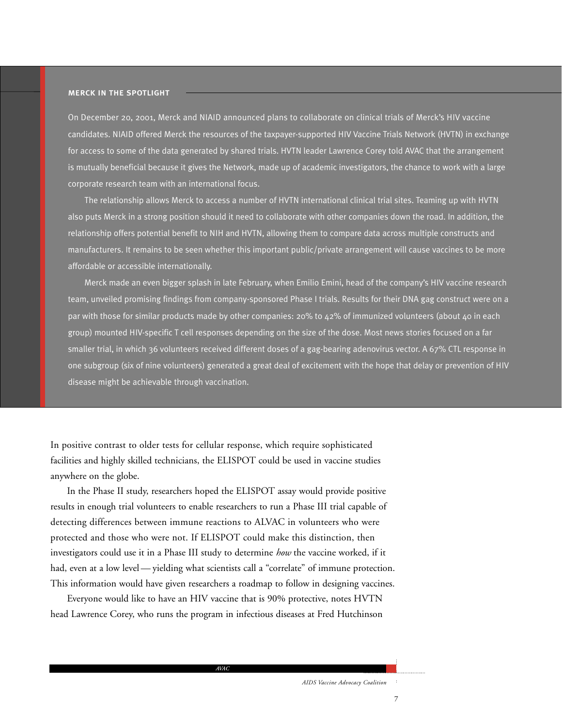### merck in the spotlight

On December 20, 2001, Merck and NIAID announced plans to collaborate on clinical trials of Merck's HIV vaccine candidates. NIAID offered Merck the resources of the taxpayer-supported HIV Vaccine Trials Network (HVTN) in exchange for access to some of the data generated by shared trials. HVTN leader Lawrence Corey told AVAC that the arrangement is mutually beneficial because it gives the Network, made up of academic investigators, the chance to work with a large corporate research team with an international focus.

The relationship allows Merck to access a number of HVTN international clinical trial sites. Teaming up with HVTN also puts Merck in a strong position should it need to collaborate with other companies down the road. In addition, the relationship offers potential benefit to NIH and HVTN, allowing them to compare data across multiple constructs and manufacturers. It remains to be seen whether this important public/private arrangement will cause vaccines to be more affordable or accessible internationally.

Merck made an even bigger splash in late February, when Emilio Emini, head of the company's HIV vaccine research team, unveiled promising findings from company-sponsored Phase I trials. Results for their DNA gag construct were on a par with those for similar products made by other companies: 20% to 42% of immunized volunteers (about 40 in each group) mounted HIV-specific T cell responses depending on the size of the dose. Most news stories focused on a far smaller trial, in which 36 volunteers received different doses of a gag-bearing adenovirus vector. A 67% CTL response in one subgroup (six of nine volunteers) generated a great deal of excitement with the hope that delay or prevention of HIV disease might be achievable through vaccination.

In positive contrast to older tests for cellular response, which require sophisticated facilities and highly skilled technicians, the ELISPOT could be used in vaccine studies anywhere on the globe.

In the Phase II study, researchers hoped the ELISPOT assay would provide positive results in enough trial volunteers to enable researchers to run a Phase III trial capable of detecting differences between immune reactions to ALVAC in volunteers who were protected and those who were not. If ELISPOT could make this distinction, then investigators could use it in a Phase III study to determine *how* the vaccine worked, if it had, even at a low level — yielding what scientists call a "correlate" of immune protection. This information would have given researchers a roadmap to follow in designing vaccines.

Everyone would like to have an HIV vaccine that is 90% protective, notes HVTN head Lawrence Corey, who runs the program in infectious diseases at Fred Hutchinson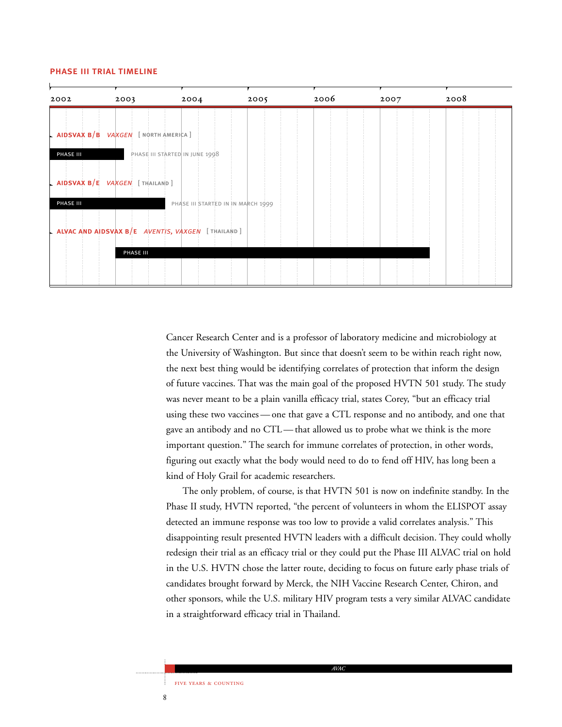### phase iii trial timeline



Cancer Research Center and is a professor of laboratory medicine and microbiology at the University of Washington. But since that doesn't seem to be within reach right now, the next best thing would be identifying correlates of protection that inform the design of future vaccines. That was the main goal of the proposed HVTN 501 study. The study was never meant to be a plain vanilla efficacy trial, states Corey, "but an efficacy trial using these two vaccines — one that gave a CTL response and no antibody, and one that gave an antibody and no CTL — that allowed us to probe what we think is the more important question." The search for immune correlates of protection, in other words, figuring out exactly what the body would need to do to fend off HIV, has long been a kind of Holy Grail for academic researchers.

The only problem, of course, is that HVTN 501 is now on indefinite standby. In the Phase II study, HVTN reported, "the percent of volunteers in whom the ELISPOT assay detected an immune response was too low to provide a valid correlates analysis." This disappointing result presented HVTN leaders with a difficult decision. They could wholly redesign their trial as an efficacy trial or they could put the Phase III ALVAC trial on hold in the U.S. HVTN chose the latter route, deciding to focus on future early phase trials of candidates brought forward by Merck, the NIH Vaccine Research Center, Chiron, and other sponsors, while the U.S. military HIV program tests a very similar ALVAC candidate in a straightforward efficacy trial in Thailand.

 $\,$  8  $\,$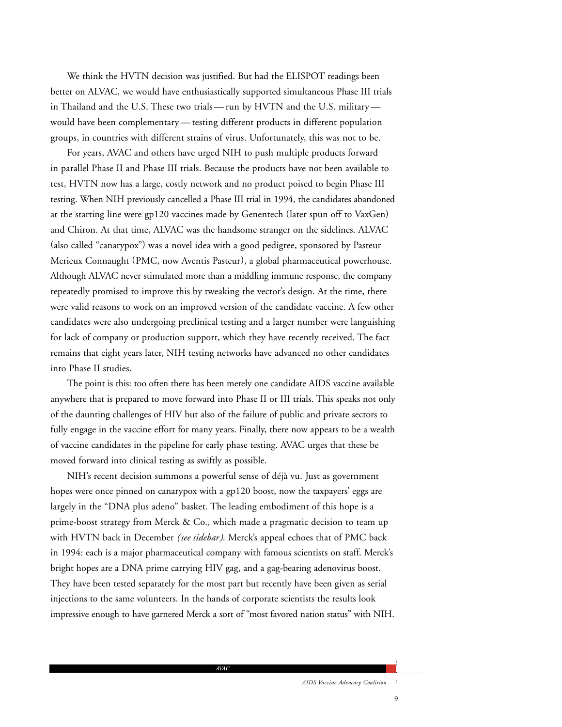We think the HVTN decision was justified. But had the ELISPOT readings been better on ALVAC, we would have enthusiastically supported simultaneous Phase III trials in Thailand and the U.S. These two trials — run by HVTN and the U.S. military would have been complementary — testing different products in different population groups, in countries with different strains of virus. Unfortunately, this was not to be.

For years, AVAC and others have urged NIH to push multiple products forward in parallel Phase II and Phase III trials. Because the products have not been available to test, HVTN now has a large, costly network and no product poised to begin Phase III testing. When NIH previously cancelled a Phase III trial in 1994, the candidates abandoned at the starting line were gp120 vaccines made by Genentech (later spun off to VaxGen) and Chiron. At that time, ALVAC was the handsome stranger on the sidelines. ALVAC (also called "canarypox") was a novel idea with a good pedigree, sponsored by Pasteur Merieux Connaught (PMC, now Aventis Pasteur), a global pharmaceutical powerhouse. Although ALVAC never stimulated more than a middling immune response, the company repeatedly promised to improve this by tweaking the vector's design. At the time, there were valid reasons to work on an improved version of the candidate vaccine. A few other candidates were also undergoing preclinical testing and a larger number were languishing for lack of company or production support, which they have recently received. The fact remains that eight years later, NIH testing networks have advanced no other candidates into Phase II studies.

The point is this: too often there has been merely one candidate AIDS vaccine available anywhere that is prepared to move forward into Phase II or III trials. This speaks not only of the daunting challenges of HIV but also of the failure of public and private sectors to fully engage in the vaccine effort for many years. Finally, there now appears to be a wealth of vaccine candidates in the pipeline for early phase testing. AVAC urges that these be moved forward into clinical testing as swiftly as possible.

NIH's recent decision summons a powerful sense of déjà vu. Just as government hopes were once pinned on canarypox with a gp120 boost, now the taxpayers' eggs are largely in the "DNA plus adeno" basket. The leading embodiment of this hope is a prime-boost strategy from Merck & Co., which made a pragmatic decision to team up with HVTN back in December *(see sidebar)*. Merck's appeal echoes that of PMC back in 1994: each is a major pharmaceutical company with famous scientists on staff. Merck's bright hopes are a DNA prime carrying HIV gag, and a gag-bearing adenovirus boost. They have been tested separately for the most part but recently have been given as serial injections to the same volunteers. In the hands of corporate scientists the results look impressive enough to have garnered Merck a sort of "most favored nation status" with NIH.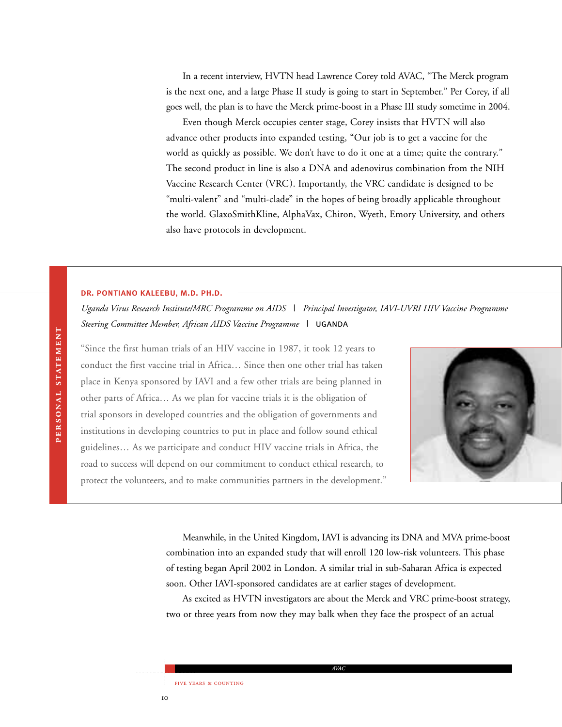In a recent interview, HVTN head Lawrence Corey told AVAC, "The Merck program is the next one, and a large Phase II study is going to start in September." Per Corey, if all goes well, the plan is to have the Merck prime-boost in a Phase III study sometime in 2004.

Even though Merck occupies center stage, Corey insists that HVTN will also advance other products into expanded testing, "Our job is to get a vaccine for the world as quickly as possible. We don't have to do it one at a time; quite the contrary." The second product in line is also a DNA and adenovirus combination from the NIH Vaccine Research Center (VRC). Importantly, the VRC candidate is designed to be "multi-valent" and "multi-clade" in the hopes of being broadly applicable throughout the world. GlaxoSmithKline, AlphaVax, Chiron, Wyeth, Emory University, and others also have protocols in development.

### dr. pontiano kaleebu, m.d. ph.d.

*Uganda Virus Research Institute/MRC Programme on AIDS | Principal Investigator, IAVI-UVRI HIV Vaccine Programme Steering Committee Member, African AIDS Vaccine Programme |* uganda

"Since the first human trials of an HIV vaccine in 1987, it took 12 years to conduct the first vaccine trial in Africa… Since then one other trial has taken place in Kenya sponsored by IAVI and a few other trials are being planned in other parts of Africa… As we plan for vaccine trials it is the obligation of trial sponsors in developed countries and the obligation of governments and institutions in developing countries to put in place and follow sound ethical guidelines… As we participate and conduct HIV vaccine trials in Africa, the road to success will depend on our commitment to conduct ethical research, to protect the volunteers, and to make communities partners in the development."



Meanwhile, in the United Kingdom, IAVI is advancing its DNA and MVA prime-boost combination into an expanded study that will enroll 120 low-risk volunteers. This phase of testing began April 2002 in London. A similar trial in sub-Saharan Africa is expected soon. Other IAVI-sponsored candidates are at earlier stages of development.

As excited as HVTN investigators are about the Merck and VRC prime-boost strategy, two or three years from now they may balk when they face the prospect of an actual

*AVAC*

FIVE YEARS & COUNTING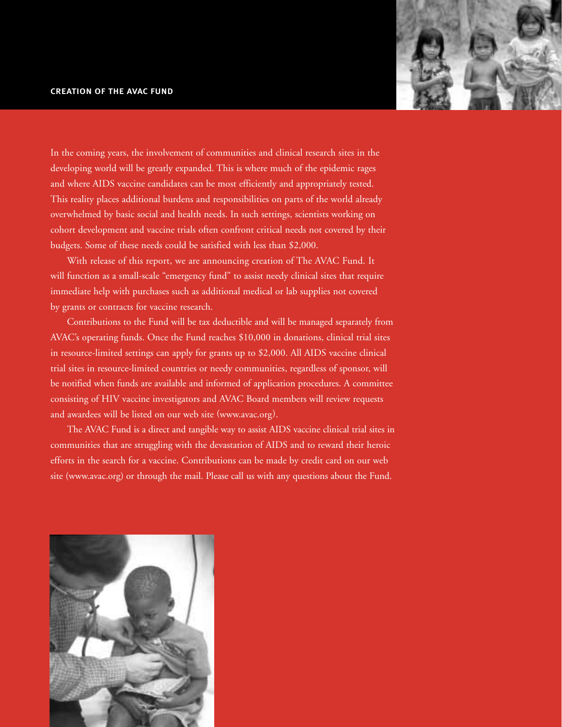### creation of the avac fund



In the coming years, the involvement of communities and clinical research sites in the developing world will be greatly expanded. This is where much of the epidemic rages and where AIDS vaccine candidates can be most efficiently and appropriately tested. This reality places additional burdens and responsibilities on parts of the world already overwhelmed by basic social and health needs. In such settings, scientists working on cohort development and vaccine trials often confront critical needs not covered by their budgets. Some of these needs could be satisfied with less than \$2,000.

With release of this report, we are announcing creation of The AVAC Fund. It will function as a small-scale "emergency fund" to assist needy clinical sites that require immediate help with purchases such as additional medical or lab supplies not covered by grants or contracts for vaccine research.

Contributions to the Fund will be tax deductible and will be managed separately from AVAC's operating funds. Once the Fund reaches \$10,000 in donations, clinical trial sites in resource-limited settings can apply for grants up to \$2,000. All AIDS vaccine clinical trial sites in resource-limited countries or needy communities, regardless of sponsor, will be notified when funds are available and informed of application procedures. A committee consisting of HIV vaccine investigators and AVAC Board members will review requests and awardees will be listed on our web site (www.avac.org).

The AVAC Fund is a direct and tangible way to assist AIDS vaccine clinical trial sites in communities that are struggling with the devastation of AIDS and to reward their heroic efforts in the search for a vaccine. Contributions can be made by credit card on our web site (www.avac.org) or through the mail. Please call us with any questions about the Fund.

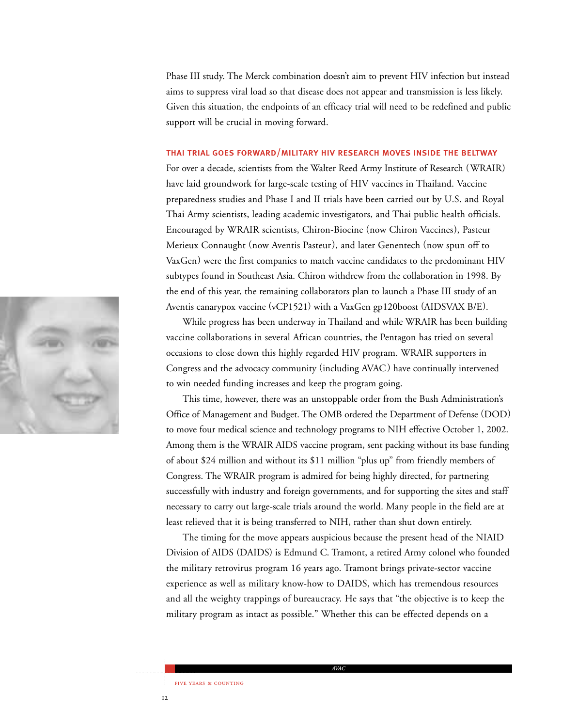Phase III study. The Merck combination doesn't aim to prevent HIV infection but instead aims to suppress viral load so that disease does not appear and transmission is less likely. Given this situation, the endpoints of an efficacy trial will need to be redefined and public support will be crucial in moving forward.

### thai trial goes forward/military hiv research moves inside the beltway

For over a decade, scientists from the Walter Reed Army Institute of Research (WRAIR) have laid groundwork for large-scale testing of HIV vaccines in Thailand. Vaccine preparedness studies and Phase I and II trials have been carried out by U.S. and Royal Thai Army scientists, leading academic investigators, and Thai public health officials. Encouraged by WRAIR scientists, Chiron-Biocine (now Chiron Vaccines), Pasteur Merieux Connaught (now Aventis Pasteur), and later Genentech (now spun off to VaxGen) were the first companies to match vaccine candidates to the predominant HIV subtypes found in Southeast Asia. Chiron withdrew from the collaboration in 1998. By the end of this year, the remaining collaborators plan to launch a Phase III study of an Aventis canarypox vaccine (vCP1521) with a VaxGen gp120boost (AIDSVAX B/E).

While progress has been underway in Thailand and while WRAIR has been building vaccine collaborations in several African countries, the Pentagon has tried on several occasions to close down this highly regarded HIV program. WRAIR supporters in Congress and the advocacy community (including AVAC) have continually intervened to win needed funding increases and keep the program going.

This time, however, there was an unstoppable order from the Bush Administration's Office of Management and Budget. The OMB ordered the Department of Defense (DOD) to move four medical science and technology programs to NIH effective October 1, 2002. Among them is the WRAIR AIDS vaccine program, sent packing without its base funding of about \$24 million and without its \$11 million "plus up" from friendly members of Congress. The WRAIR program is admired for being highly directed, for partnering successfully with industry and foreign governments, and for supporting the sites and staff necessary to carry out large-scale trials around the world. Many people in the field are at least relieved that it is being transferred to NIH, rather than shut down entirely.

The timing for the move appears auspicious because the present head of the NIAID Division of AIDS (DAIDS) is Edmund C. Tramont, a retired Army colonel who founded the military retrovirus program 16 years ago. Tramont brings private-sector vaccine experience as well as military know-how to DAIDS, which has tremendous resources and all the weighty trappings of bureaucracy. He says that "the objective is to keep the military program as intact as possible." Whether this can be effected depends on a

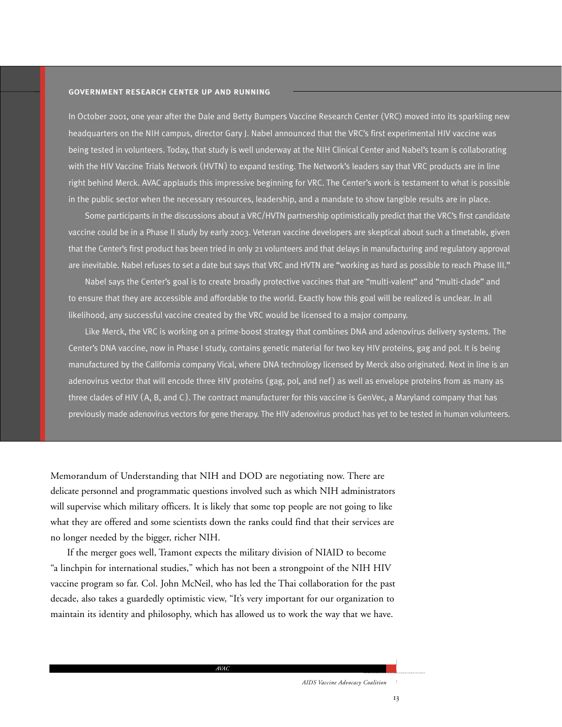### government research center up and running

In October 2001, one year after the Dale and Betty Bumpers Vaccine Research Center (VRC) moved into its sparkling new headquarters on the NIH campus, director Gary J. Nabel announced that the VRC's first experimental HIV vaccine was being tested in volunteers. Today, that study is well underway at the NIH Clinical Center and Nabel's team is collaborating with the HIV Vaccine Trials Network (HVTN) to expand testing. The Network's leaders say that VRC products are in line right behind Merck. AVAC applauds this impressive beginning for VRC. The Center's work is testament to what is possible in the public sector when the necessary resources, leadership, and a mandate to show tangible results are in place.

Some participants in the discussions about a VRC/HVTN partnership optimistically predict that the VRC's first candidate vaccine could be in a Phase II study by early 2003. Veteran vaccine developers are skeptical about such a timetable, given that the Center's first product has been tried in only 21 volunteers and that delays in manufacturing and regulatory approval are inevitable. Nabel refuses to set a date but says that VRC and HVTN are "working as hard as possible to reach Phase III."

Nabel says the Center's goal is to create broadly protective vaccines that are "multi-valent" and "multi-clade" and to ensure that they are accessible and affordable to the world. Exactly how this goal will be realized is unclear. In all likelihood, any successful vaccine created by the VRC would be licensed to a major company.

Like Merck, the VRC is working on a prime-boost strategy that combines DNA and adenovirus delivery systems. The Center's DNA vaccine, now in Phase I study, contains genetic material for two key HIV proteins, gag and pol. It is being manufactured by the California company Vical, where DNA technology licensed by Merck also originated. Next in line is an adenovirus vector that will encode three HIV proteins (gag, pol, and nef) as well as envelope proteins from as many as three clades of HIV ( A, B, and C ). The contract manufacturer for this vaccine is GenVec, a Maryland company that has previously made adenovirus vectors for gene therapy. The HIV adenovirus product has yet to be tested in human volunteers.

Memorandum of Understanding that NIH and DOD are negotiating now. There are delicate personnel and programmatic questions involved such as which NIH administrators will supervise which military officers. It is likely that some top people are not going to like what they are offered and some scientists down the ranks could find that their services are no longer needed by the bigger, richer NIH.

If the merger goes well, Tramont expects the military division of NIAID to become "a linchpin for international studies," which has not been a strongpoint of the NIH HIV vaccine program so far. Col. John McNeil, who has led the Thai collaboration for the past decade, also takes a guardedly optimistic view, "It's very important for our organization to maintain its identity and philosophy, which has allowed us to work the way that we have.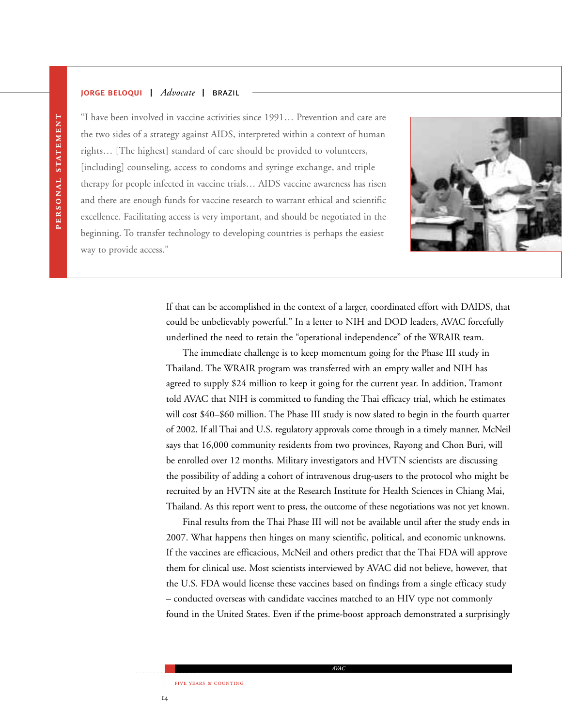### jorge beloqui | *Advocate* | brazil



"I have been involved in vaccine activities since 1991… Prevention and care are the two sides of a strategy against AIDS, interpreted within a context of human rights… [The highest] standard of care should be provided to volunteers, [including] counseling, access to condoms and syringe exchange, and triple therapy for people infected in vaccine trials… AIDS vaccine awareness has risen and there are enough funds for vaccine research to warrant ethical and scientific excellence. Facilitating access is very important, and should be negotiated in the beginning. To transfer technology to developing countries is perhaps the easiest way to provide access."

> If that can be accomplished in the context of a larger, coordinated effort with DAIDS, that could be unbelievably powerful." In a letter to NIH and DOD leaders, AVAC forcefully underlined the need to retain the "operational independence" of the WRAIR team.

> The immediate challenge is to keep momentum going for the Phase III study in Thailand. The WRAIR program was transferred with an empty wallet and NIH has agreed to supply \$24 million to keep it going for the current year. In addition, Tramont told AVAC that NIH is committed to funding the Thai efficacy trial, which he estimates will cost \$40–\$60 million. The Phase III study is now slated to begin in the fourth quarter of 2002. If all Thai and U.S. regulatory approvals come through in a timely manner, McNeil says that 16,000 community residents from two provinces, Rayong and Chon Buri, will be enrolled over 12 months. Military investigators and HVTN scientists are discussing the possibility of adding a cohort of intravenous drug-users to the protocol who might be recruited by an HVTN site at the Research Institute for Health Sciences in Chiang Mai, Thailand. As this report went to press, the outcome of these negotiations was not yet known.

> Final results from the Thai Phase III will not be available until after the study ends in 2007. What happens then hinges on many scientific, political, and economic unknowns. If the vaccines are efficacious, McNeil and others predict that the Thai FDA will approve them for clinical use. Most scientists interviewed by AVAC did not believe, however, that the U.S. FDA would license these vaccines based on findings from a single efficacy study – conducted overseas with candidate vaccines matched to an HIV type not commonly found in the United States. Even if the prime-boost approach demonstrated a surprisingly

> > *AVAC*

FIVE YEARS & COUNTING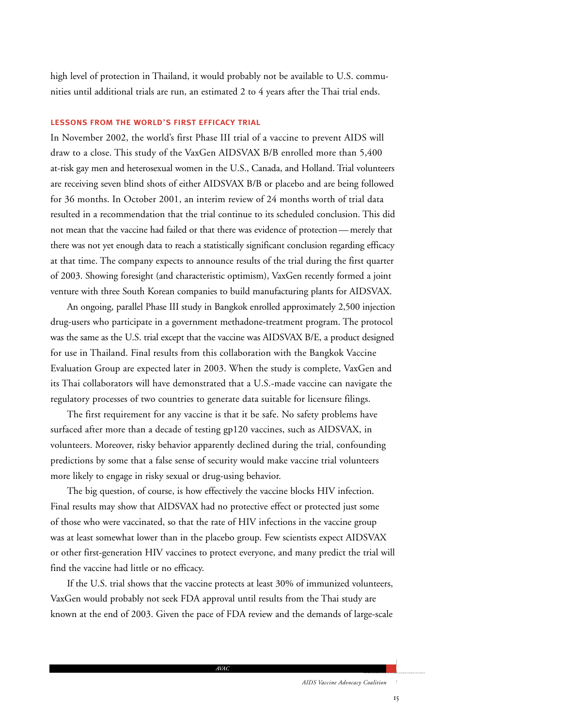high level of protection in Thailand, it would probably not be available to U.S. communities until additional trials are run, an estimated 2 to 4 years after the Thai trial ends.

### lessons from the world's first efficacy trial

In November 2002, the world's first Phase III trial of a vaccine to prevent AIDS will draw to a close. This study of the VaxGen AIDSVAX B/B enrolled more than 5,400 at-risk gay men and heterosexual women in the U.S., Canada, and Holland. Trial volunteers are receiving seven blind shots of either AIDSVAX B/B or placebo and are being followed for 36 months. In October 2001, an interim review of 24 months worth of trial data resulted in a recommendation that the trial continue to its scheduled conclusion. This did not mean that the vaccine had failed or that there was evidence of protection — merely that there was not yet enough data to reach a statistically significant conclusion regarding efficacy at that time. The company expects to announce results of the trial during the first quarter of 2003. Showing foresight (and characteristic optimism), VaxGen recently formed a joint venture with three South Korean companies to build manufacturing plants for AIDSVAX.

An ongoing, parallel Phase III study in Bangkok enrolled approximately 2,500 injection drug-users who participate in a government methadone-treatment program. The protocol was the same as the U.S. trial except that the vaccine was AIDSVAX B/E, a product designed for use in Thailand. Final results from this collaboration with the Bangkok Vaccine Evaluation Group are expected later in 2003. When the study is complete, VaxGen and its Thai collaborators will have demonstrated that a U.S.-made vaccine can navigate the regulatory processes of two countries to generate data suitable for licensure filings.

The first requirement for any vaccine is that it be safe. No safety problems have surfaced after more than a decade of testing gp120 vaccines, such as AIDSVAX, in volunteers. Moreover, risky behavior apparently declined during the trial, confounding predictions by some that a false sense of security would make vaccine trial volunteers more likely to engage in risky sexual or drug-using behavior.

The big question, of course, is how effectively the vaccine blocks HIV infection. Final results may show that AIDSVAX had no protective effect or protected just some of those who were vaccinated, so that the rate of HIV infections in the vaccine group was at least somewhat lower than in the placebo group. Few scientists expect AIDSVAX or other first-generation HIV vaccines to protect everyone, and many predict the trial will find the vaccine had little or no efficacy.

If the U.S. trial shows that the vaccine protects at least 30% of immunized volunteers, VaxGen would probably not seek FDA approval until results from the Thai study are known at the end of 2003. Given the pace of FDA review and the demands of large-scale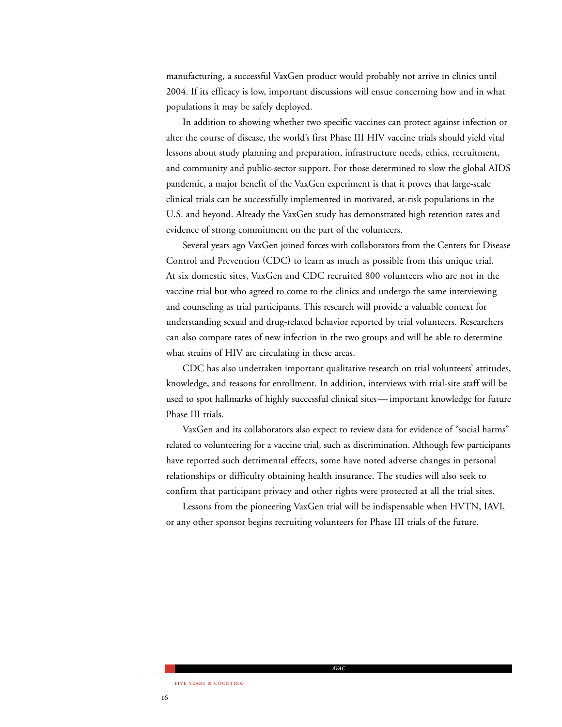manufacturing, a successful VaxGen product would probably not arrive in clinics until 2004. If its efficacy is low, important discussions will ensue concerning how and in what populations it may be safely deployed.

In addition to showing whether two specific vaccines can protect against infection or alter the course of disease, the world's first Phase III HIV vaccine trials should yield vital lessons about study planning and preparation, infrastructure needs, ethics, recruitment, and community and public-sector support. For those determined to slow the global AIDS pandemic, a major benefit of the VaxGen experiment is that it proves that large-scale clinical trials can be successfully implemented in motivated, at-risk populations in the U.S. and beyond. Already the VaxGen study has demonstrated high retention rates and evidence of strong commitment on the part of the volunteers.

Several years ago VaxGen joined forces with collaborators from the Centers for Disease Control and Prevention (CDC) to learn as much as possible from this unique trial. At six domestic sites, VaxGen and CDC recruited 800 volunteers who are not in the vaccine trial but who agreed to come to the clinics and undergo the same interviewing and counseling as trial participants. This research will provide a valuable context for understanding sexual and drug-related behavior reported by trial volunteers. Researchers can also compare rates of new infection in the two groups and will be able to determine what strains of HIV are circulating in these areas.

CDC has also undertaken important qualitative research on trial volunteers' attitudes, knowledge, and reasons for enrollment. In addition, interviews with trial-site staff will be used to spot hallmarks of highly successful clinical sites — important knowledge for future Phase III trials.

VaxGen and its collaborators also expect to review data for evidence of "social harms" related to volunteering for a vaccine trial, such as discrimination. Although few participants have reported such detrimental effects, some have noted adverse changes in personal relationships or difficulty obtaining health insurance. The studies will also seek to confirm that participant privacy and other rights were protected at all the trial sites.

Lessons from the pioneering VaxGen trial will be indispensable when HVTN, IAVI, or any other sponsor begins recruiting volunteers for Phase III trials of the future.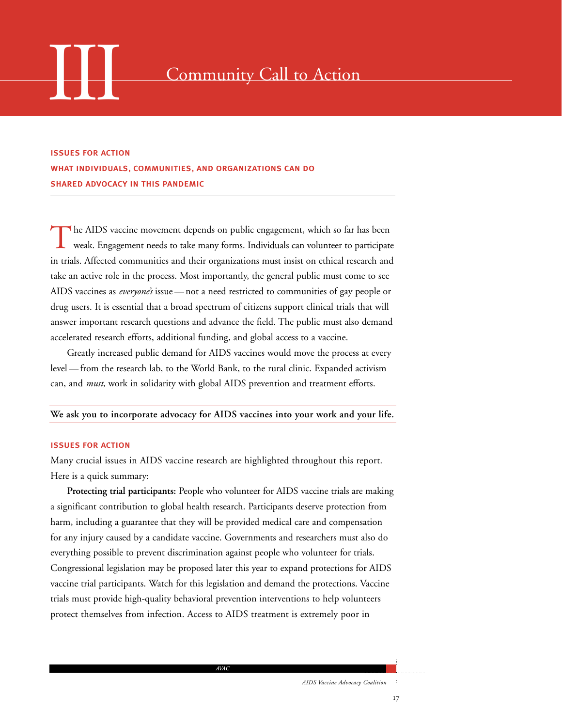

### Community Call to Action

issues for action what individuals, communities, and organizations can do shared advocacy in this pandemic

The AIDS vaccine movement depends on public engagement, which so far has been weak. Engagement needs to take many forms. Individuals can volunteer to participate in trials. Affected communities and their organizations must insist on ethical research and take an active role in the process. Most importantly, the general public must come to see AIDS vaccines as *everyone's* issue — not a need restricted to communities of gay people or drug users. It is essential that a broad spectrum of citizens support clinical trials that will answer important research questions and advance the field. The public must also demand accelerated research efforts, additional funding, and global access to a vaccine.

Greatly increased public demand for AIDS vaccines would move the process at every level — from the research lab, to the World Bank, to the rural clinic. Expanded activism can, and *must*, work in solidarity with global AIDS prevention and treatment efforts.

### **We ask you to incorporate advocacy for AIDS vaccines into your work and your life.**

### issues for action

Many crucial issues in AIDS vaccine research are highlighted throughout this report. Here is a quick summary:

**Protecting trial participants:** People who volunteer for AIDS vaccine trials are making a significant contribution to global health research. Participants deserve protection from harm, including a guarantee that they will be provided medical care and compensation for any injury caused by a candidate vaccine. Governments and researchers must also do everything possible to prevent discrimination against people who volunteer for trials. Congressional legislation may be proposed later this year to expand protections for AIDS vaccine trial participants. Watch for this legislation and demand the protections. Vaccine trials must provide high-quality behavioral prevention interventions to help volunteers protect themselves from infection. Access to AIDS treatment is extremely poor in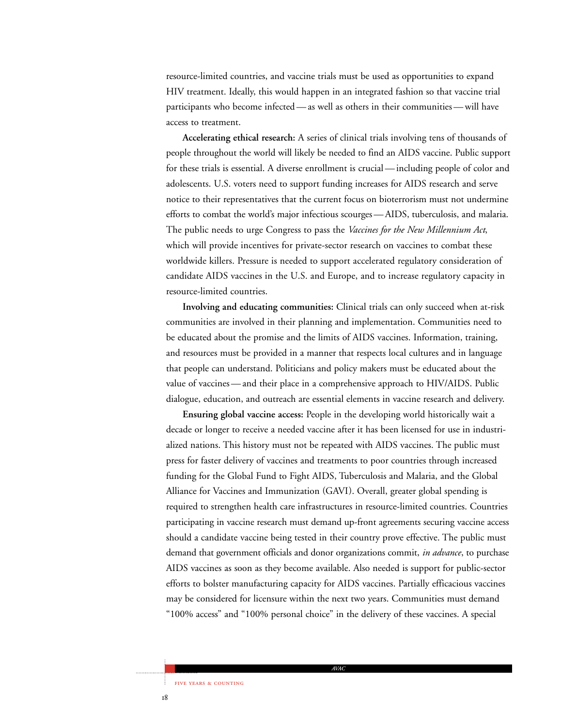resource-limited countries, and vaccine trials must be used as opportunities to expand HIV treatment. Ideally, this would happen in an integrated fashion so that vaccine trial participants who become infected — as well as others in their communities — will have access to treatment.

**Accelerating ethical research:** A series of clinical trials involving tens of thousands of people throughout the world will likely be needed to find an AIDS vaccine. Public support for these trials is essential. A diverse enrollment is crucial — including people of color and adolescents. U.S. voters need to support funding increases for AIDS research and serve notice to their representatives that the current focus on bioterrorism must not undermine efforts to combat the world's major infectious scourges — AIDS, tuberculosis, and malaria. The public needs to urge Congress to pass the *Vaccines for the New Millennium Act*, which will provide incentives for private-sector research on vaccines to combat these worldwide killers. Pressure is needed to support accelerated regulatory consideration of candidate AIDS vaccines in the U.S. and Europe, and to increase regulatory capacity in resource-limited countries.

**Involving and educating communities:** Clinical trials can only succeed when at-risk communities are involved in their planning and implementation. Communities need to be educated about the promise and the limits of AIDS vaccines. Information, training, and resources must be provided in a manner that respects local cultures and in language that people can understand. Politicians and policy makers must be educated about the value of vaccines — and their place in a comprehensive approach to HIV/AIDS. Public dialogue, education, and outreach are essential elements in vaccine research and delivery.

**Ensuring global vaccine access:** People in the developing world historically wait a decade or longer to receive a needed vaccine after it has been licensed for use in industrialized nations. This history must not be repeated with AIDS vaccines. The public must press for faster delivery of vaccines and treatments to poor countries through increased funding for the Global Fund to Fight AIDS, Tuberculosis and Malaria, and the Global Alliance for Vaccines and Immunization (GAVI). Overall, greater global spending is required to strengthen health care infrastructures in resource-limited countries. Countries participating in vaccine research must demand up-front agreements securing vaccine access should a candidate vaccine being tested in their country prove effective. The public must demand that government officials and donor organizations commit, *in advance*, to purchase AIDS vaccines as soon as they become available. Also needed is support for public-sector efforts to bolster manufacturing capacity for AIDS vaccines. Partially efficacious vaccines may be considered for licensure within the next two years. Communities must demand "100% access" and "100% personal choice" in the delivery of these vaccines. A special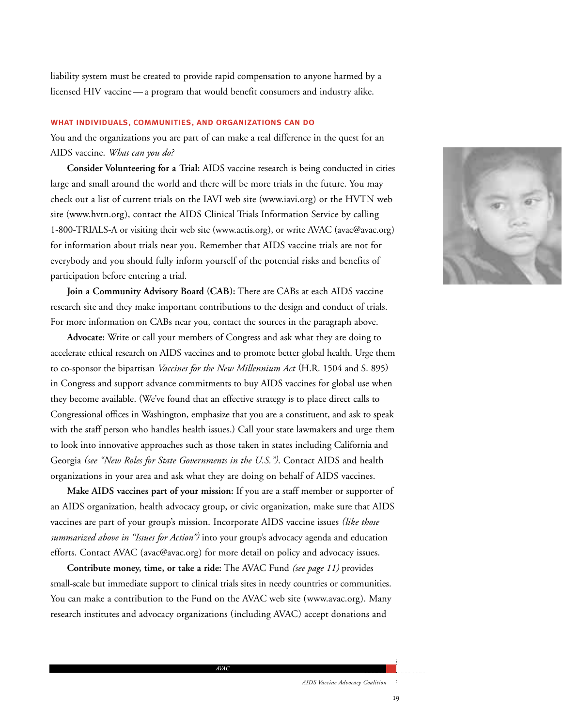liability system must be created to provide rapid compensation to anyone harmed by a licensed HIV vaccine — a program that would benefit consumers and industry alike.

### what individuals, communities, and organizations can do

You and the organizations you are part of can make a real difference in the quest for an AIDS vaccine. *What can you do?*

**Consider Volunteering for a Trial:** AIDS vaccine research is being conducted in cities large and small around the world and there will be more trials in the future. You may check out a list of current trials on the IAVI web site (www.iavi.org) or the HVTN web site (www.hvtn.org), contact the AIDS Clinical Trials Information Service by calling 1-800-TRIALS-A or visiting their web site (www.actis.org), or write AVAC (avac@avac.org) for information about trials near you. Remember that AIDS vaccine trials are not for everybody and you should fully inform yourself of the potential risks and benefits of participation before entering a trial.

**Join a Community Advisory Board (CAB):** There are CABs at each AIDS vaccine research site and they make important contributions to the design and conduct of trials. For more information on CABs near you, contact the sources in the paragraph above.

**Advocate:** Write or call your members of Congress and ask what they are doing to accelerate ethical research on AIDS vaccines and to promote better global health. Urge them to co-sponsor the bipartisan *Vaccines for the New Millennium Act* (H.R. 1504 and S. 895) in Congress and support advance commitments to buy AIDS vaccines for global use when they become available. (We've found that an effective strategy is to place direct calls to Congressional offices in Washington, emphasize that you are a constituent, and ask to speak with the staff person who handles health issues.) Call your state lawmakers and urge them to look into innovative approaches such as those taken in states including California and Georgia *(see "New Roles for State Governments in the U.S.")*. Contact AIDS and health organizations in your area and ask what they are doing on behalf of AIDS vaccines.

**Make AIDS vaccines part of your mission:** If you are a staff member or supporter of an AIDS organization, health advocacy group, or civic organization, make sure that AIDS vaccines are part of your group's mission. Incorporate AIDS vaccine issues *(like those summarized above in "Issues for Action")* into your group's advocacy agenda and education efforts. Contact AVAC (avac@avac.org) for more detail on policy and advocacy issues.

**Contribute money, time, or take a ride:** The AVAC Fund *(see page 11)* provides small-scale but immediate support to clinical trials sites in needy countries or communities. You can make a contribution to the Fund on the AVAC web site (www.avac.org). Many research institutes and advocacy organizations (including AVAC) accept donations and

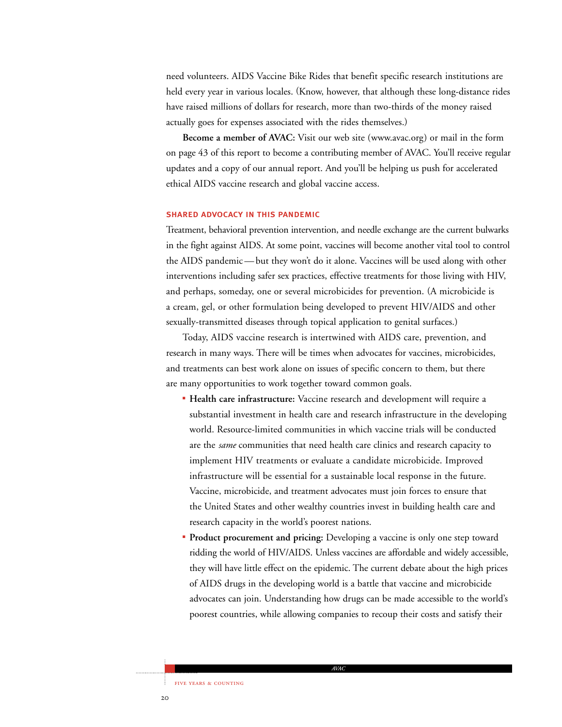need volunteers. AIDS Vaccine Bike Rides that benefit specific research institutions are held every year in various locales. (Know, however, that although these long-distance rides have raised millions of dollars for research, more than two-thirds of the money raised actually goes for expenses associated with the rides themselves.)

**Become a member of AVAC:** Visit our web site (www.avac.org) or mail in the form on page 43 of this report to become a contributing member of AVAC. You'll receive regular updates and a copy of our annual report. And you'll be helping us push for accelerated ethical AIDS vaccine research and global vaccine access.

### shared advocacy in this pandemic

Treatment, behavioral prevention intervention, and needle exchange are the current bulwarks in the fight against AIDS. At some point, vaccines will become another vital tool to control the AIDS pandemic — but they won't do it alone. Vaccines will be used along with other interventions including safer sex practices, effective treatments for those living with HIV, and perhaps, someday, one or several microbicides for prevention. (A microbicide is a cream, gel, or other formulation being developed to prevent HIV/AIDS and other sexually-transmitted diseases through topical application to genital surfaces.)

Today, AIDS vaccine research is intertwined with AIDS care, prevention, and research in many ways. There will be times when advocates for vaccines, microbicides, and treatments can best work alone on issues of specific concern to them, but there are many opportunities to work together toward common goals.

- **Health care infrastructure:** Vaccine research and development will require a substantial investment in health care and research infrastructure in the developing world. Resource-limited communities in which vaccine trials will be conducted are the *same* communities that need health care clinics and research capacity to implement HIV treatments or evaluate a candidate microbicide. Improved infrastructure will be essential for a sustainable local response in the future. Vaccine, microbicide, and treatment advocates must join forces to ensure that the United States and other wealthy countries invest in building health care and research capacity in the world's poorest nations.
- **Product procurement and pricing:** Developing a vaccine is only one step toward ridding the world of HIV/AIDS. Unless vaccines are affordable and widely accessible, they will have little effect on the epidemic. The current debate about the high prices of AIDS drugs in the developing world is a battle that vaccine and microbicide advocates can join. Understanding how drugs can be made accessible to the world's poorest countries, while allowing companies to recoup their costs and satisfy their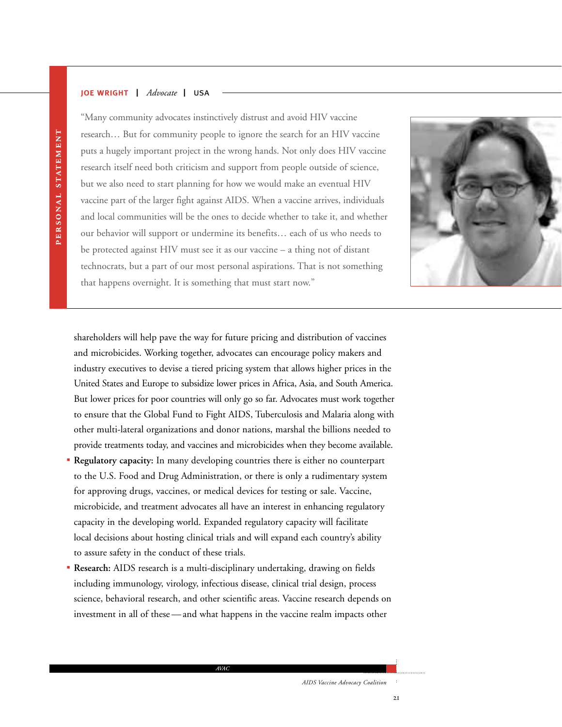### joe wright | *Advocate* | usa

"Many community advocates instinctively distrust and avoid HIV vaccine research… But for community people to ignore the search for an HIV vaccine puts a hugely important project in the wrong hands. Not only does HIV vaccine research itself need both criticism and support from people outside of science, but we also need to start planning for how we would make an eventual HIV vaccine part of the larger fight against AIDS. When a vaccine arrives, individuals and local communities will be the ones to decide whether to take it, and whether our behavior will support or undermine its benefits… each of us who needs to be protected against HIV must see it as our vaccine – a thing not of distant technocrats, but a part of our most personal aspirations. That is not something that happens overnight. It is something that must start now."



shareholders will help pave the way for future pricing and distribution of vaccines and microbicides. Working together, advocates can encourage policy makers and industry executives to devise a tiered pricing system that allows higher prices in the United States and Europe to subsidize lower prices in Africa, Asia, and South America. But lower prices for poor countries will only go so far. Advocates must work together to ensure that the Global Fund to Fight AIDS, Tuberculosis and Malaria along with other multi-lateral organizations and donor nations, marshal the billions needed to provide treatments today, and vaccines and microbicides when they become available.

- **Regulatory capacity:** In many developing countries there is either no counterpart to the U.S. Food and Drug Administration, or there is only a rudimentary system for approving drugs, vaccines, or medical devices for testing or sale. Vaccine, microbicide, and treatment advocates all have an interest in enhancing regulatory capacity in the developing world. Expanded regulatory capacity will facilitate local decisions about hosting clinical trials and will expand each country's ability to assure safety in the conduct of these trials.
- **Research:** AIDS research is a multi-disciplinary undertaking, drawing on fields including immunology, virology, infectious disease, clinical trial design, process science, behavioral research, and other scientific areas. Vaccine research depends on investment in all of these — and what happens in the vaccine realm impacts other

*AVAC*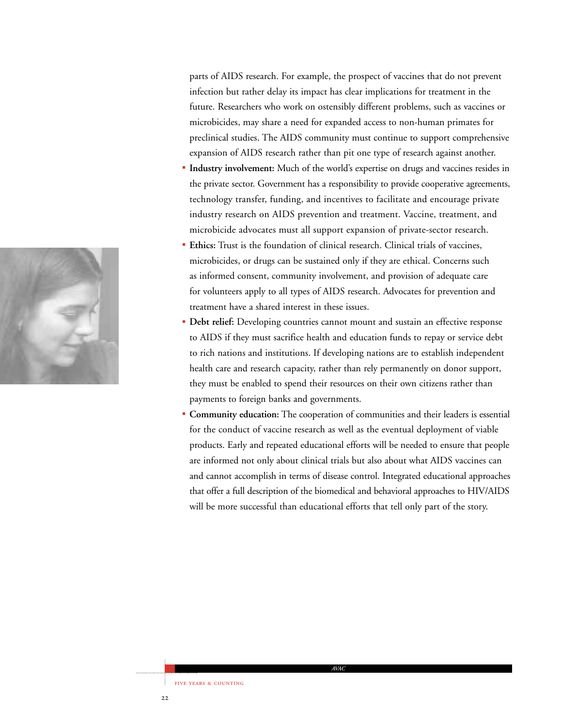parts of AIDS research. For example, the prospect of vaccines that do not prevent infection but rather delay its impact has clear implications for treatment in the future. Researchers who work on ostensibly different problems, such as vaccines or microbicides, may share a need for expanded access to non-human primates for preclinical studies. The AIDS community must continue to support comprehensive expansion of AIDS research rather than pit one type of research against another.

- **Industry involvement:** Much of the world's expertise on drugs and vaccines resides in the private sector. Government has a responsibility to provide cooperative agreements, technology transfer, funding, and incentives to facilitate and encourage private industry research on AIDS prevention and treatment. Vaccine, treatment, and microbicide advocates must all support expansion of private-sector research.
- **Ethics:** Trust is the foundation of clinical research. Clinical trials of vaccines, microbicides, or drugs can be sustained only if they are ethical. Concerns such as informed consent, community involvement, and provision of adequate care for volunteers apply to all types of AIDS research. Advocates for prevention and treatment have a shared interest in these issues.
- **Debt relief:** Developing countries cannot mount and sustain an effective response to AIDS if they must sacrifice health and education funds to repay or service debt to rich nations and institutions. If developing nations are to establish independent health care and research capacity, rather than rely permanently on donor support, they must be enabled to spend their resources on their own citizens rather than payments to foreign banks and governments.
- **Community education:** The cooperation of communities and their leaders is essential for the conduct of vaccine research as well as the eventual deployment of viable products. Early and repeated educational efforts will be needed to ensure that people are informed not only about clinical trials but also about what AIDS vaccines can and cannot accomplish in terms of disease control. Integrated educational approaches that offer a full description of the biomedical and behavioral approaches to HIV/AIDS will be more successful than educational efforts that tell only part of the story.

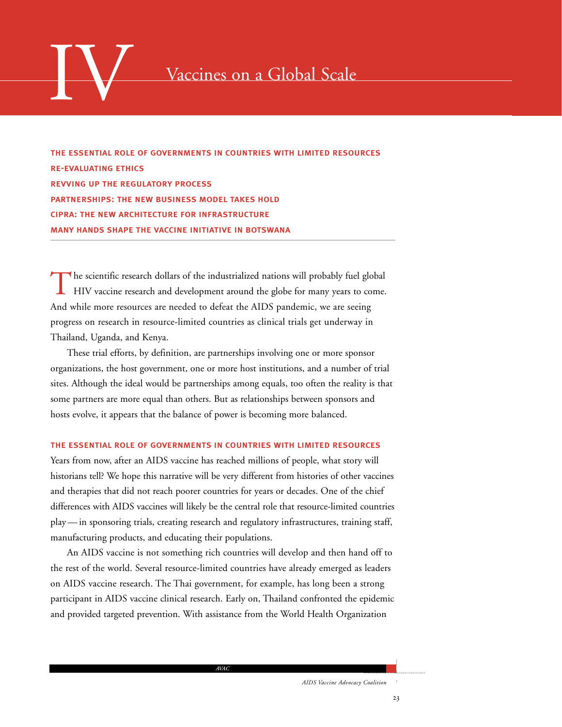

the essential role of governments in countries with limited resources re-evaluating ethics revving up the regulatory process partnerships: the new business model takes hold cipra: the new architecture for infrastructure many hands shape the vaccine initiative in botswana

The scientific research dollars of the industrialized nations will probably fuel global HIV vaccine research and development around the globe for many years to come. And while more resources are needed to defeat the AIDS pandemic, we are seeing progress on research in resource-limited countries as clinical trials get underway in Thailand, Uganda, and Kenya.

These trial efforts, by definition, are partnerships involving one or more sponsor organizations, the host government, one or more host institutions, and a number of trial sites. Although the ideal would be partnerships among equals, too often the reality is that some partners are more equal than others. But as relationships between sponsors and hosts evolve, it appears that the balance of power is becoming more balanced.

### the essential role of governments in countries with limited resources

Years from now, after an AIDS vaccine has reached millions of people, what story will historians tell? We hope this narrative will be very different from histories of other vaccines and therapies that did not reach poorer countries for years or decades. One of the chief differences with AIDS vaccines will likely be the central role that resource-limited countries play — in sponsoring trials, creating research and regulatory infrastructures, training staff, manufacturing products, and educating their populations.

An AIDS vaccine is not something rich countries will develop and then hand off to the rest of the world. Several resource-limited countries have already emerged as leaders on AIDS vaccine research. The Thai government, for example, has long been a strong participant in AIDS vaccine clinical research. Early on, Thailand confronted the epidemic and provided targeted prevention. With assistance from the World Health Organization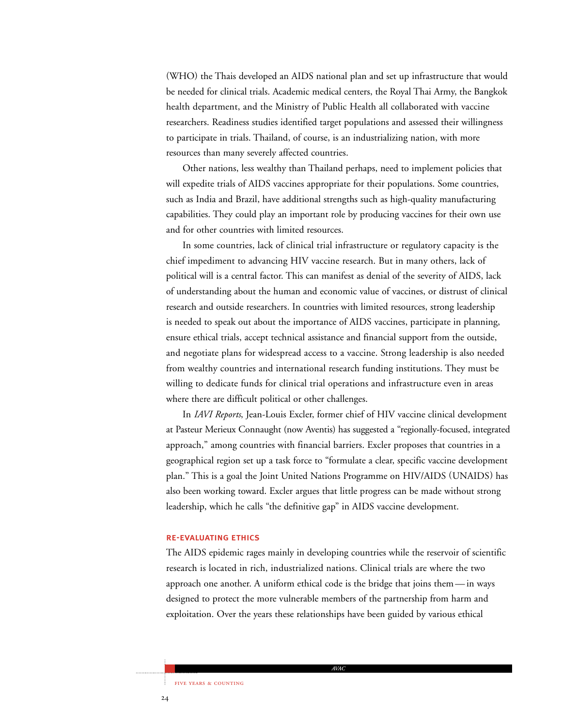(WHO) the Thais developed an AIDS national plan and set up infrastructure that would be needed for clinical trials. Academic medical centers, the Royal Thai Army, the Bangkok health department, and the Ministry of Public Health all collaborated with vaccine researchers. Readiness studies identified target populations and assessed their willingness to participate in trials. Thailand, of course, is an industrializing nation, with more resources than many severely affected countries.

Other nations, less wealthy than Thailand perhaps, need to implement policies that will expedite trials of AIDS vaccines appropriate for their populations. Some countries, such as India and Brazil, have additional strengths such as high-quality manufacturing capabilities. They could play an important role by producing vaccines for their own use and for other countries with limited resources.

In some countries, lack of clinical trial infrastructure or regulatory capacity is the chief impediment to advancing HIV vaccine research. But in many others, lack of political will is a central factor. This can manifest as denial of the severity of AIDS, lack of understanding about the human and economic value of vaccines, or distrust of clinical research and outside researchers. In countries with limited resources, strong leadership is needed to speak out about the importance of AIDS vaccines, participate in planning, ensure ethical trials, accept technical assistance and financial support from the outside, and negotiate plans for widespread access to a vaccine. Strong leadership is also needed from wealthy countries and international research funding institutions. They must be willing to dedicate funds for clinical trial operations and infrastructure even in areas where there are difficult political or other challenges.

In *IAVI Reports*, Jean-Louis Excler, former chief of HIV vaccine clinical development at Pasteur Merieux Connaught (now Aventis) has suggested a "regionally-focused, integrated approach," among countries with financial barriers. Excler proposes that countries in a geographical region set up a task force to "formulate a clear, specific vaccine development plan." This is a goal the Joint United Nations Programme on HIV/AIDS (UNAIDS) has also been working toward. Excler argues that little progress can be made without strong leadership, which he calls "the definitive gap" in AIDS vaccine development.

### re-evaluating ethics

The AIDS epidemic rages mainly in developing countries while the reservoir of scientific research is located in rich, industrialized nations. Clinical trials are where the two approach one another. A uniform ethical code is the bridge that joins them — in ways designed to protect the more vulnerable members of the partnership from harm and exploitation. Over the years these relationships have been guided by various ethical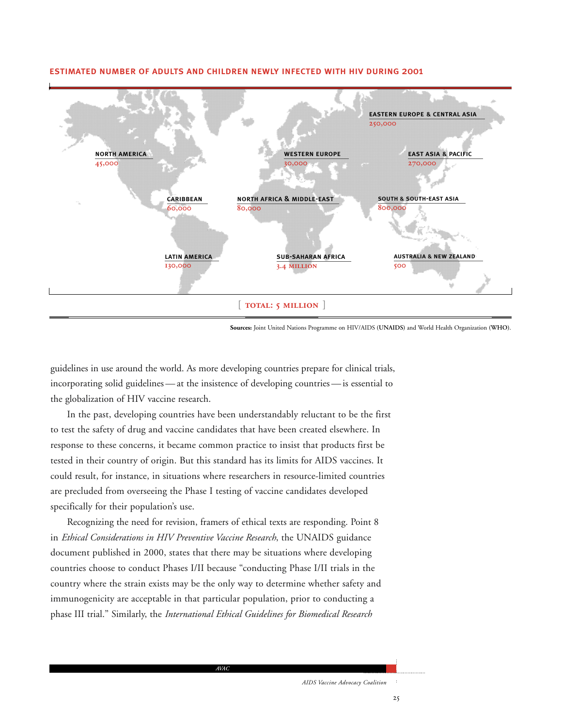

### estimated number of adults and children newly infected with hiv during 2001

**Sources:** Joint United Nations Programme on HIV/AIDS **(UNAIDS)** and World Health Organization **(WHO)**.

guidelines in use around the world. As more developing countries prepare for clinical trials, incorporating solid guidelines — at the insistence of developing countries — is essential to the globalization of HIV vaccine research.

In the past, developing countries have been understandably reluctant to be the first to test the safety of drug and vaccine candidates that have been created elsewhere. In response to these concerns, it became common practice to insist that products first be tested in their country of origin. But this standard has its limits for AIDS vaccines. It could result, for instance, in situations where researchers in resource-limited countries are precluded from overseeing the Phase I testing of vaccine candidates developed specifically for their population's use.

Recognizing the need for revision, framers of ethical texts are responding. Point 8 in *Ethical Considerations in HIV Preventive Vaccine Research*, the UNAIDS guidance document published in 2000, states that there may be situations where developing countries choose to conduct Phases I/II because "conducting Phase I/II trials in the country where the strain exists may be the only way to determine whether safety and immunogenicity are acceptable in that particular population, prior to conducting a phase III trial." Similarly, the *International Ethical Guidelines for Biomedical Research*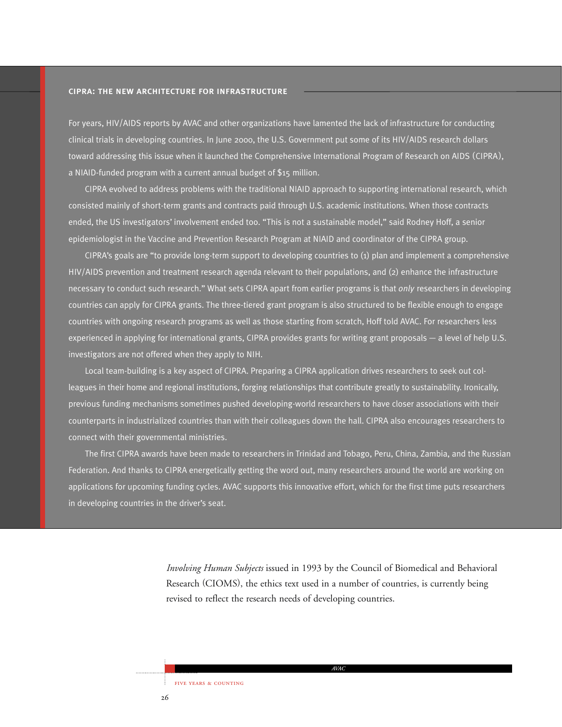### cipra: the new architecture for infrastructure

For years, HIV/AIDS reports by AVAC and other organizations have lamented the lack of infrastructure for conducting clinical trials in developing countries. In June 2000, the U.S. Government put some of its HIV/AIDS research dollars toward addressing this issue when it launched the Comprehensive International Program of Research on AIDS (CIPRA), a NIAID-funded program with a current annual budget of \$15 million.

CIPRA evolved to address problems with the traditional NIAID approach to supporting international research, which consisted mainly of short-term grants and contracts paid through U.S. academic institutions. When those contracts ended, the US investigators' involvement ended too. "This is not a sustainable model," said Rodney Hoff, a senior epidemiologist in the Vaccine and Prevention Research Program at NIAID and coordinator of the CIPRA group.

CIPRA's goals are "to provide long-term support to developing countries to (1) plan and implement a comprehensive HIV/AIDS prevention and treatment research agenda relevant to their populations, and (2) enhance the infrastructure necessary to conduct such research." What sets CIPRA apart from earlier programs is that *only* researchers in developing countries can apply for CIPRA grants. The three-tiered grant program is also structured to be flexible enough to engage countries with ongoing research programs as well as those starting from scratch, Hoff told AVAC. For researchers less experienced in applying for international grants, CIPRA provides grants for writing grant proposals — a level of help U.S. investigators are not offered when they apply to NIH.

Local team-building is a key aspect of CIPRA. Preparing a CIPRA application drives researchers to seek out colleagues in their home and regional institutions, forging relationships that contribute greatly to sustainability. Ironically, previous funding mechanisms sometimes pushed developing-world researchers to have closer associations with their counterparts in industrialized countries than with their colleagues down the hall. CIPRA also encourages researchers to connect with their governmental ministries.

The first CIPRA awards have been made to researchers in Trinidad and Tobago, Peru, China, Zambia, and the Russian Federation. And thanks to CIPRA energetically getting the word out, many researchers around the world are working on applications for upcoming funding cycles. AVAC supports this innovative effort, which for the first time puts researchers in developing countries in the driver's seat.

> *Involving Human Subjects* issued in 1993 by the Council of Biomedical and Behavioral Research (CIOMS), the ethics text used in a number of countries, is currently being revised to reflect the research needs of developing countries.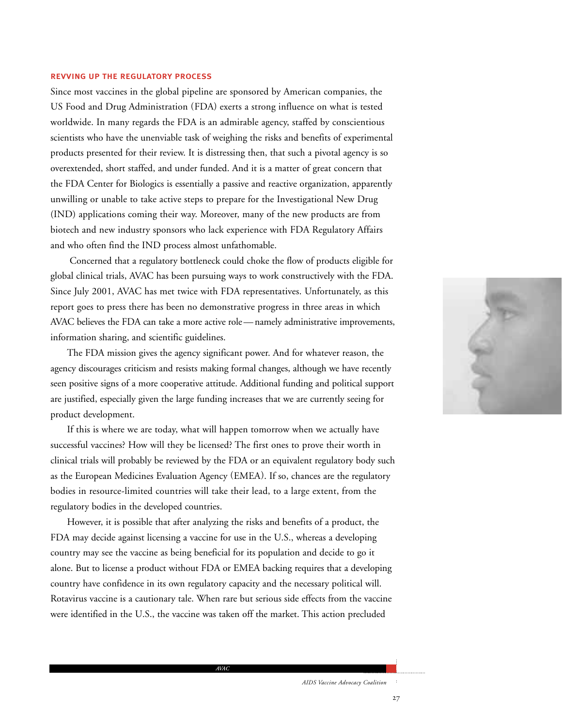### revving up the regulatory process

Since most vaccines in the global pipeline are sponsored by American companies, the US Food and Drug Administration (FDA) exerts a strong influence on what is tested worldwide. In many regards the FDA is an admirable agency, staffed by conscientious scientists who have the unenviable task of weighing the risks and benefits of experimental products presented for their review. It is distressing then, that such a pivotal agency is so overextended, short staffed, and under funded. And it is a matter of great concern that the FDA Center for Biologics is essentially a passive and reactive organization, apparently unwilling or unable to take active steps to prepare for the Investigational New Drug (IND) applications coming their way. Moreover, many of the new products are from biotech and new industry sponsors who lack experience with FDA Regulatory Affairs and who often find the IND process almost unfathomable.

Concerned that a regulatory bottleneck could choke the flow of products eligible for global clinical trials, AVAC has been pursuing ways to work constructively with the FDA. Since July 2001, AVAC has met twice with FDA representatives. Unfortunately, as this report goes to press there has been no demonstrative progress in three areas in which AVAC believes the FDA can take a more active role — namely administrative improvements, information sharing, and scientific guidelines.

The FDA mission gives the agency significant power. And for whatever reason, the agency discourages criticism and resists making formal changes, although we have recently seen positive signs of a more cooperative attitude. Additional funding and political support are justified, especially given the large funding increases that we are currently seeing for product development.

If this is where we are today, what will happen tomorrow when we actually have successful vaccines? How will they be licensed? The first ones to prove their worth in clinical trials will probably be reviewed by the FDA or an equivalent regulatory body such as the European Medicines Evaluation Agency (EMEA). If so, chances are the regulatory bodies in resource-limited countries will take their lead, to a large extent, from the regulatory bodies in the developed countries.

However, it is possible that after analyzing the risks and benefits of a product, the FDA may decide against licensing a vaccine for use in the U.S., whereas a developing country may see the vaccine as being beneficial for its population and decide to go it alone. But to license a product without FDA or EMEA backing requires that a developing country have confidence in its own regulatory capacity and the necessary political will. Rotavirus vaccine is a cautionary tale. When rare but serious side effects from the vaccine were identified in the U.S., the vaccine was taken off the market. This action precluded

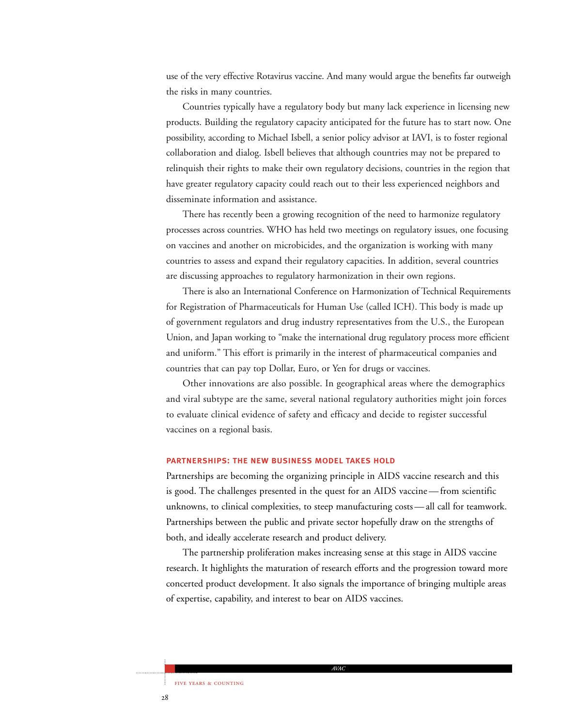use of the very effective Rotavirus vaccine. And many would argue the benefits far outweigh the risks in many countries.

Countries typically have a regulatory body but many lack experience in licensing new products. Building the regulatory capacity anticipated for the future has to start now. One possibility, according to Michael Isbell, a senior policy advisor at IAVI, is to foster regional collaboration and dialog. Isbell believes that although countries may not be prepared to relinquish their rights to make their own regulatory decisions, countries in the region that have greater regulatory capacity could reach out to their less experienced neighbors and disseminate information and assistance.

There has recently been a growing recognition of the need to harmonize regulatory processes across countries. WHO has held two meetings on regulatory issues, one focusing on vaccines and another on microbicides, and the organization is working with many countries to assess and expand their regulatory capacities. In addition, several countries are discussing approaches to regulatory harmonization in their own regions.

There is also an International Conference on Harmonization of Technical Requirements for Registration of Pharmaceuticals for Human Use (called ICH). This body is made up of government regulators and drug industry representatives from the U.S., the European Union, and Japan working to "make the international drug regulatory process more efficient and uniform." This effort is primarily in the interest of pharmaceutical companies and countries that can pay top Dollar, Euro, or Yen for drugs or vaccines.

Other innovations are also possible. In geographical areas where the demographics and viral subtype are the same, several national regulatory authorities might join forces to evaluate clinical evidence of safety and efficacy and decide to register successful vaccines on a regional basis.

### partnerships: the new business model takes hold

Partnerships are becoming the organizing principle in AIDS vaccine research and this is good. The challenges presented in the quest for an AIDS vaccine — from scientific unknowns, to clinical complexities, to steep manufacturing costs — all call for teamwork. Partnerships between the public and private sector hopefully draw on the strengths of both, and ideally accelerate research and product delivery.

The partnership proliferation makes increasing sense at this stage in AIDS vaccine research. It highlights the maturation of research efforts and the progression toward more concerted product development. It also signals the importance of bringing multiple areas of expertise, capability, and interest to bear on AIDS vaccines.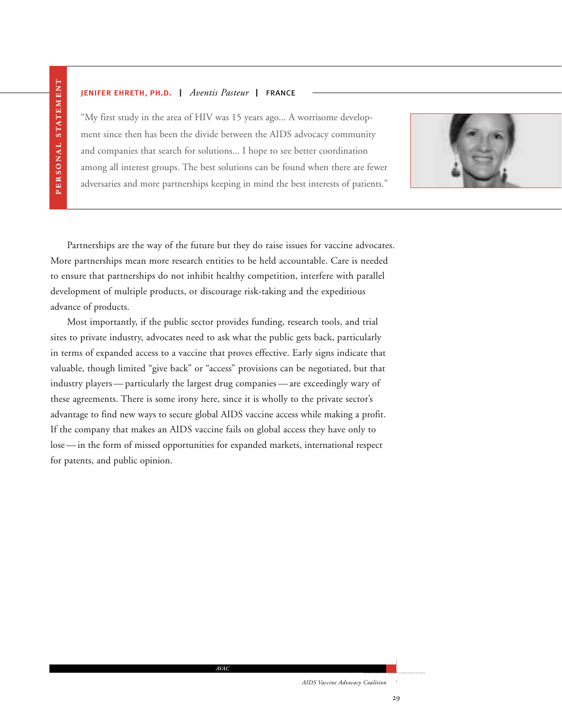### jenifer ehreth, ph.d. | *Aventis Pasteur* | france

"My first study in the area of HIV was 15 years ago... A worrisome development since then has been the divide between the AIDS advocacy community and companies that search for solutions... I hope to see better coordination among all interest groups. The best solutions can be found when there are fewer adversaries and more partnerships keeping in mind the best interests of patients."



Partnerships are the way of the future but they do raise issues for vaccine advocates. More partnerships mean more research entities to be held accountable. Care is needed to ensure that partnerships do not inhibit healthy competition, interfere with parallel development of multiple products, or discourage risk-taking and the expeditious advance of products.

Most importantly, if the public sector provides funding, research tools, and trial sites to private industry, advocates need to ask what the public gets back, particularly in terms of expanded access to a vaccine that proves effective. Early signs indicate that valuable, though limited "give back" or "access" provisions can be negotiated, but that industry players — particularly the largest drug companies — are exceedingly wary of these agreements. There is some irony here, since it is wholly to the private sector's advantage to find new ways to secure global AIDS vaccine access while making a profit. If the company that makes an AIDS vaccine fails on global access they have only to lose — in the form of missed opportunities for expanded markets, international respect for patents, and public opinion.

*AVAC*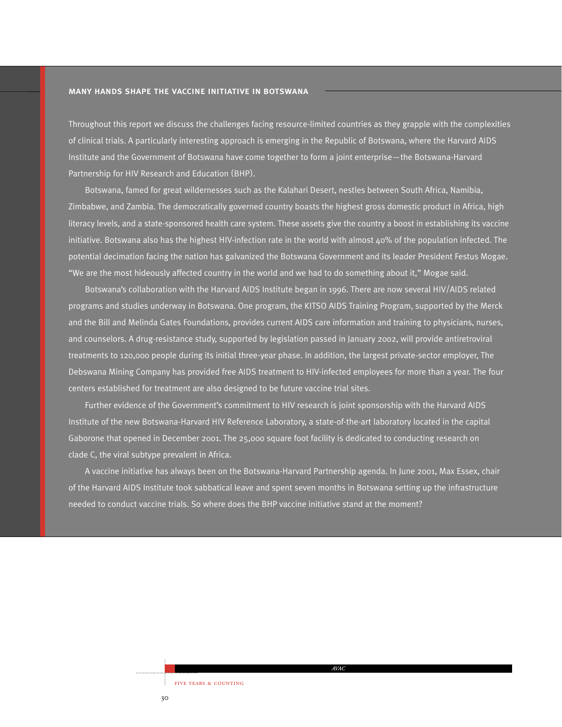### many hands shape the vaccine initiative in botswana

Throughout this report we discuss the challenges facing resource-limited countries as they grapple with the complexities of clinical trials. A particularly interesting approach is emerging in the Republic of Botswana, where the Harvard AIDS Institute and the Government of Botswana have come together to form a joint enterprise—the Botswana-Harvard Partnership for HIV Research and Education (BHP).

Botswana, famed for great wildernesses such as the Kalahari Desert, nestles between South Africa, Namibia, Zimbabwe, and Zambia. The democratically governed country boasts the highest gross domestic product in Africa, high literacy levels, and a state-sponsored health care system. These assets give the country a boost in establishing its vaccine initiative. Botswana also has the highest HIV-infection rate in the world with almost 40% of the population infected. The potential decimation facing the nation has galvanized the Botswana Government and its leader President Festus Mogae. "We are the most hideously affected country in the world and we had to do something about it," Mogae said.

Botswana's collaboration with the Harvard AIDS Institute began in 1996. There are now several HIV/AIDS related programs and studies underway in Botswana. One program, the KITSO AIDS Training Program, supported by the Merck and the Bill and Melinda Gates Foundations, provides current AIDS care information and training to physicians, nurses, and counselors. A drug-resistance study, supported by legislation passed in January 2002, will provide antiretroviral treatments to 120,000 people during its initial three-year phase. In addition, the largest private-sector employer, The Debswana Mining Company has provided free AIDS treatment to HIV-infected employees for more than a year. The four centers established for treatment are also designed to be future vaccine trial sites.

Further evidence of the Government's commitment to HIV research is joint sponsorship with the Harvard AIDS Institute of the new Botswana-Harvard HIV Reference Laboratory, a state-of-the-art laboratory located in the capital Gaborone that opened in December 2001. The 25,000 square foot facility is dedicated to conducting research on clade C, the viral subtype prevalent in Africa.

A vaccine initiative has always been on the Botswana-Harvard Partnership agenda. In June 2001, Max Essex, chair of the Harvard AIDS Institute took sabbatical leave and spent seven months in Botswana setting up the infrastructure needed to conduct vaccine trials. So where does the BHP vaccine initiative stand at the moment?

*AVAC*

30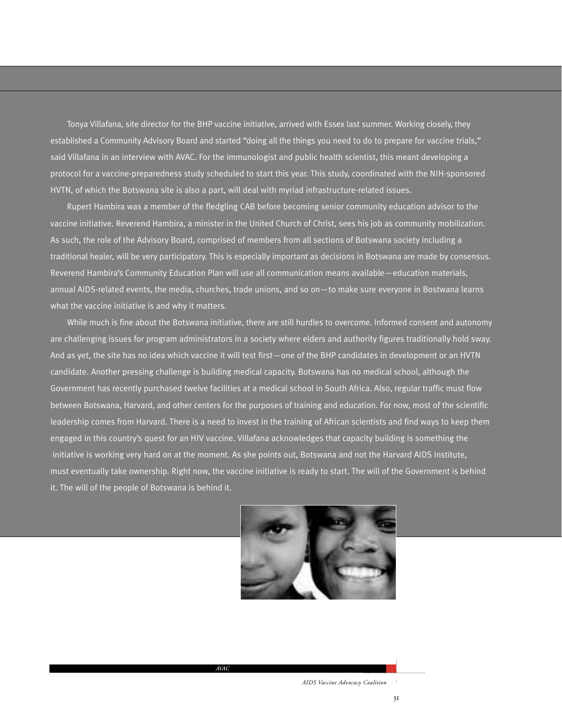Tonya Villafana, site director for the BHP vaccine initiative, arrived with Essex last summer. Working closely, they established a Community Advisory Board and started "doing all the things you need to do to prepare for vaccine trials," said Villafana in an interview with AVAC. For the immunologist and public health scientist, this meant developing a protocol for a vaccine-preparedness study scheduled to start this year. This study, coordinated with the NIH-sponsored HVTN, of which the Botswana site is also a part, will deal with myriad infrastructure-related issues.

Rupert Hambira was a member of the fledgling CAB before becoming senior community education advisor to the vaccine initiative. Reverend Hambira, a minister in the United Church of Christ, sees his job as community mobilization. As such, the role of the Advisory Board, comprised of members from all sections of Botswana society including a traditional healer, will be very participatory. This is especially important as decisions in Botswana are made by consensus. Reverend Hambira's Community Education Plan will use all communication means available—education materials, annual AIDS-related events, the media, churches, trade unions, and so on—to make sure everyone in Bostwana learns what the vaccine initiative is and why it matters.

While much is fine about the Botswana initiative, there are still hurdles to overcome. Informed consent and autonomy are challenging issues for program administrators in a society where elders and authority figures traditionally hold sway. And as yet, the site has no idea which vaccine it will test first—one of the BHP candidates in development or an HVTN candidate. Another pressing challenge is building medical capacity. Botswana has no medical school, although the Government has recently purchased twelve facilities at a medical school in South Africa. Also, regular traffic must flow between Botswana, Harvard, and other centers for the purposes of training and education. For now, most of the scientific leadership comes from Harvard. There is a need to invest in the training of African scientists and find ways to keep them engaged in this country's quest for an HIV vaccine. Villafana acknowledges that capacity building is something the initiative is working very hard on at the moment. As she points out, Botswana and not the Harvard AIDS Institute, must eventually take ownership. Right now, the vaccine initiative is ready to start. The will of the Government is behind it. The will of the people of Botswana is behind it.

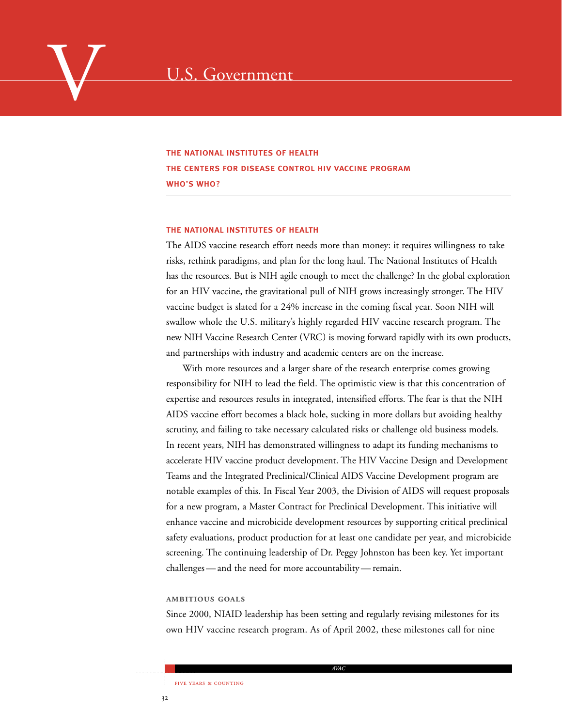### the national institutes of health the centers for disease control hiv vaccine program who's who?

### the national institutes of health

The AIDS vaccine research effort needs more than money: it requires willingness to take risks, rethink paradigms, and plan for the long haul. The National Institutes of Health has the resources. But is NIH agile enough to meet the challenge? In the global exploration for an HIV vaccine, the gravitational pull of NIH grows increasingly stronger. The HIV vaccine budget is slated for a 24% increase in the coming fiscal year. Soon NIH will swallow whole the U.S. military's highly regarded HIV vaccine research program. The new NIH Vaccine Research Center (VRC) is moving forward rapidly with its own products, and partnerships with industry and academic centers are on the increase.

With more resources and a larger share of the research enterprise comes growing responsibility for NIH to lead the field. The optimistic view is that this concentration of expertise and resources results in integrated, intensified efforts. The fear is that the NIH AIDS vaccine effort becomes a black hole, sucking in more dollars but avoiding healthy scrutiny, and failing to take necessary calculated risks or challenge old business models. In recent years, NIH has demonstrated willingness to adapt its funding mechanisms to accelerate HIV vaccine product development. The HIV Vaccine Design and Development Teams and the Integrated Preclinical/Clinical AIDS Vaccine Development program are notable examples of this. In Fiscal Year 2003, the Division of AIDS will request proposals for a new program, a Master Contract for Preclinical Development. This initiative will enhance vaccine and microbicide development resources by supporting critical preclinical safety evaluations, product production for at least one candidate per year, and microbicide screening. The continuing leadership of Dr. Peggy Johnston has been key. Yet important challenges — and the need for more accountability — remain.

### **AMBITIOUS GOALS**

Since 2000, NIAID leadership has been setting and regularly revising milestones for its own HIV vaccine research program. As of April 2002, these milestones call for nine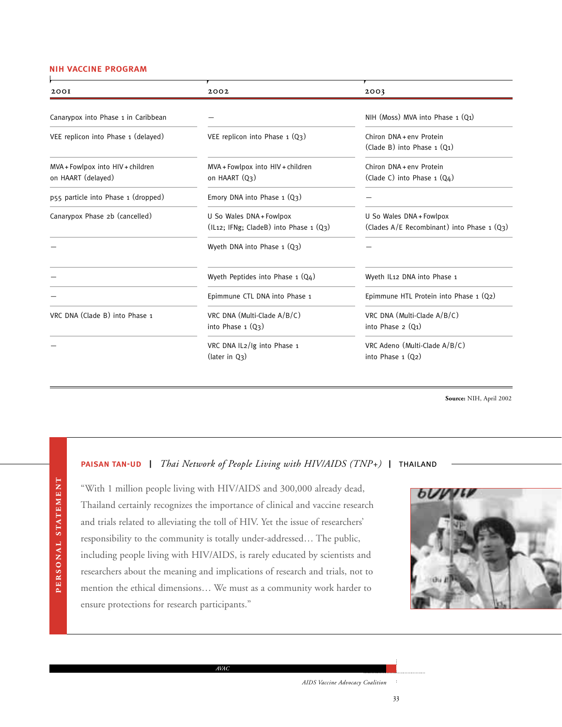### nih vaccine program

PERSONAL STATEMENT PERSONAL STATEMENT

| 2001                                                    | 2002                                                               | 2003                                                                     |
|---------------------------------------------------------|--------------------------------------------------------------------|--------------------------------------------------------------------------|
| Canarypox into Phase 1 in Caribbean                     |                                                                    | NIH (Moss) MVA into Phase 1 (Q1)                                         |
| VEE replicon into Phase 1 (delayed)                     | VEE replicon into Phase $1 (Q3)$                                   | Chiron DNA+eny Protein<br>$(Clade B)$ into Phase $1 (01)$                |
| MVA + Fowlpox into HIV + children<br>on HAART (delayed) | MVA + Fowlpox into HIV + children<br>on HAART (Q3)                 | Chiron DNA+eny Protein<br>(Clade C) into Phase $1 (Q4)$                  |
| p55 particle into Phase 1 (dropped)                     | Emory DNA into Phase $1 (Q3)$                                      |                                                                          |
| Canarypox Phase 2b (cancelled)                          | U So Wales DNA + Fowlpox<br>(IL12; IFNg; CladeB) into Phase 1 (Q3) | U So Wales DNA + Fowlpox<br>(Clades $A/E$ Recombinant) into Phase 1 (Q3) |
|                                                         | Wyeth DNA into Phase $1 (Q3)$                                      |                                                                          |
|                                                         | Wyeth Peptides into Phase 1 (Q4)                                   | Wyeth IL12 DNA into Phase 1                                              |
|                                                         | Epimmune CTL DNA into Phase 1                                      | Epimmune HTL Protein into Phase $1 (Q2)$                                 |
| VRC DNA (Clade B) into Phase 1                          | VRC DNA (Multi-Clade A/B/C)<br>into Phase $1(Q_3)$                 | VRC DNA (Multi-Clade A/B/C)<br>into Phase $2(Q_1)$                       |
|                                                         | VRC DNA IL2/Ig into Phase 1<br>(later in Q <sub>3</sub> )          | VRC Adeno (Multi-Clade A/B/C)<br>into Phase $1(Q_2)$                     |

**Source:** NIH, April 2002

### paisan tan-ud | *Thai Network of People Living with HIV/AIDS (TNP+)* | thailand

"With 1 million people living with HIV/AIDS and 300,000 already dead, Thailand certainly recognizes the importance of clinical and vaccine research and trials related to alleviating the toll of HIV. Yet the issue of researchers' responsibility to the community is totally under-addressed… The public, including people living with HIV/AIDS, is rarely educated by scientists and researchers about the meaning and implications of research and trials, not to mention the ethical dimensions… We must as a community work harder to ensure protections for research participants."



*AVAC*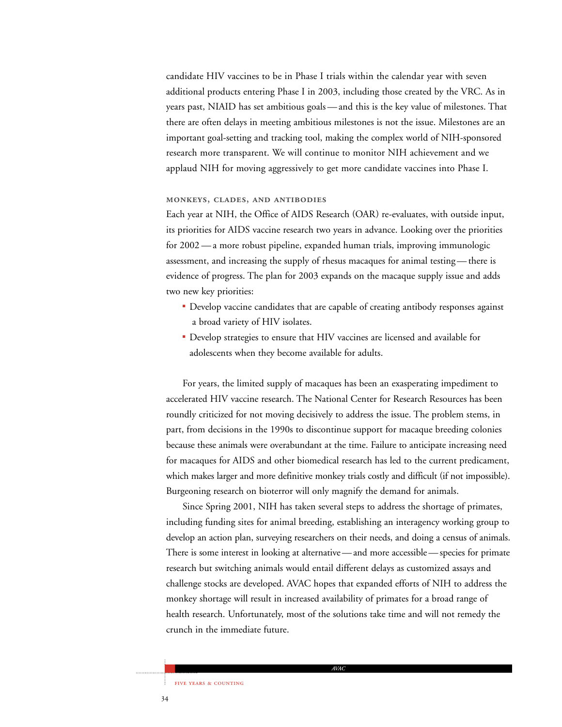candidate HIV vaccines to be in Phase I trials within the calendar year with seven additional products entering Phase I in 2003, including those created by the VRC. As in years past, NIAID has set ambitious goals — and this is the key value of milestones. That there are often delays in meeting ambitious milestones is not the issue. Milestones are an important goal-setting and tracking tool, making the complex world of NIH-sponsored research more transparent. We will continue to monitor NIH achievement and we applaud NIH for moving aggressively to get more candidate vaccines into Phase I.

### **MONKEYS, CLADES, AND ANTIBODIES**

Each year at NIH, the Office of AIDS Research (OAR) re-evaluates, with outside input, its priorities for AIDS vaccine research two years in advance. Looking over the priorities for 2002 — a more robust pipeline, expanded human trials, improving immunologic assessment, and increasing the supply of rhesus macaques for animal testing — there is evidence of progress. The plan for 2003 expands on the macaque supply issue and adds two new key priorities:

- Develop vaccine candidates that are capable of creating antibody responses against a broad variety of HIV isolates.
- Develop strategies to ensure that HIV vaccines are licensed and available for adolescents when they become available for adults.

For years, the limited supply of macaques has been an exasperating impediment to accelerated HIV vaccine research. The National Center for Research Resources has been roundly criticized for not moving decisively to address the issue. The problem stems, in part, from decisions in the 1990s to discontinue support for macaque breeding colonies because these animals were overabundant at the time. Failure to anticipate increasing need for macaques for AIDS and other biomedical research has led to the current predicament, which makes larger and more definitive monkey trials costly and difficult (if not impossible). Burgeoning research on bioterror will only magnify the demand for animals.

Since Spring 2001, NIH has taken several steps to address the shortage of primates, including funding sites for animal breeding, establishing an interagency working group to develop an action plan, surveying researchers on their needs, and doing a census of animals. There is some interest in looking at alternative — and more accessible — species for primate research but switching animals would entail different delays as customized assays and challenge stocks are developed. AVAC hopes that expanded efforts of NIH to address the monkey shortage will result in increased availability of primates for a broad range of health research. Unfortunately, most of the solutions take time and will not remedy the crunch in the immediate future.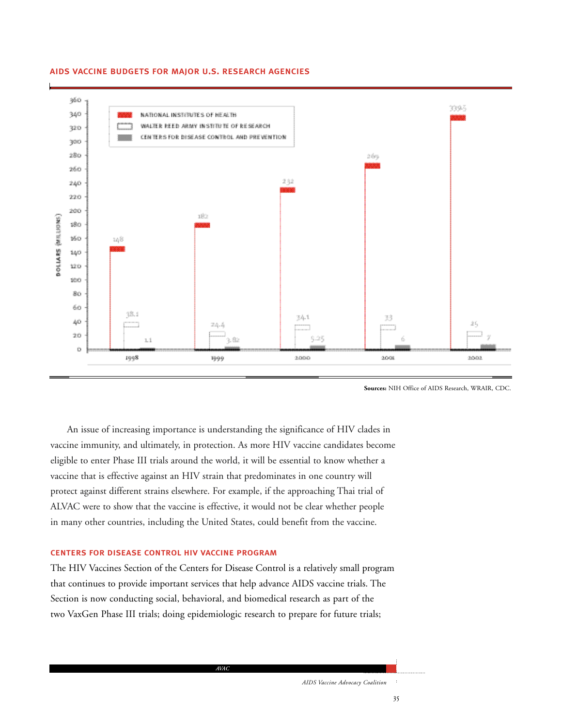

### aids vaccine budgets for major u.s. research agencies

**Sources:** NIH Office of AIDS Research, WRAIR, CDC.

An issue of increasing importance is understanding the significance of HIV clades in vaccine immunity, and ultimately, in protection. As more HIV vaccine candidates become eligible to enter Phase III trials around the world, it will be essential to know whether a vaccine that is effective against an HIV strain that predominates in one country will protect against different strains elsewhere. For example, if the approaching Thai trial of ALVAC were to show that the vaccine is effective, it would not be clear whether people in many other countries, including the United States, could benefit from the vaccine.

### centers for disease control hiv vaccine program

The HIV Vaccines Section of the Centers for Disease Control is a relatively small program that continues to provide important services that help advance AIDS vaccine trials. The Section is now conducting social, behavioral, and biomedical research as part of the two VaxGen Phase III trials; doing epidemiologic research to prepare for future trials;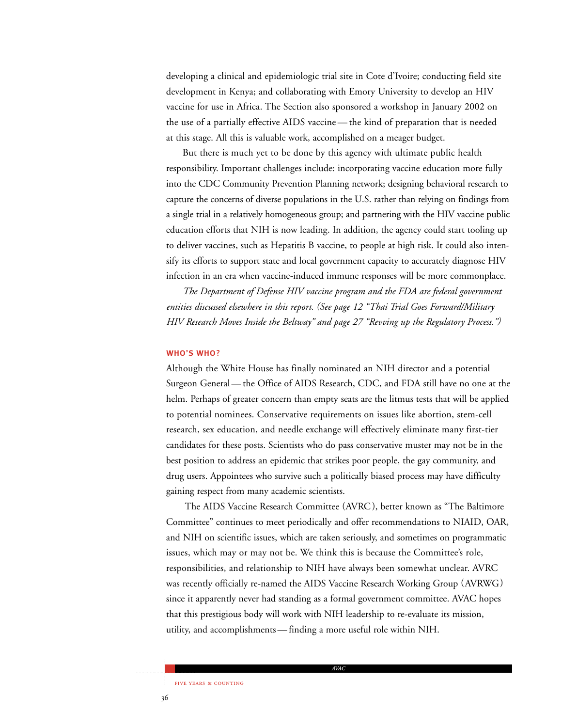developing a clinical and epidemiologic trial site in Cote d'Ivoire; conducting field site development in Kenya; and collaborating with Emory University to develop an HIV vaccine for use in Africa. The Section also sponsored a workshop in January 2002 on the use of a partially effective AIDS vaccine — the kind of preparation that is needed at this stage. All this is valuable work, accomplished on a meager budget.

But there is much yet to be done by this agency with ultimate public health responsibility. Important challenges include: incorporating vaccine education more fully into the CDC Community Prevention Planning network; designing behavioral research to capture the concerns of diverse populations in the U.S. rather than relying on findings from a single trial in a relatively homogeneous group; and partnering with the HIV vaccine public education efforts that NIH is now leading. In addition, the agency could start tooling up to deliver vaccines, such as Hepatitis B vaccine, to people at high risk. It could also intensify its efforts to support state and local government capacity to accurately diagnose HIV infection in an era when vaccine-induced immune responses will be more commonplace.

*The Department of Defense HIV vaccine program and the FDA are federal government entities discussed elsewhere in this report. (See page 12 "Thai Trial Goes Forward/Military HIV Research Moves Inside the Beltway" and page 27 "Revving up the Regulatory Process.")*

### who's who?

Although the White House has finally nominated an NIH director and a potential Surgeon General — the Office of AIDS Research, CDC, and FDA still have no one at the helm. Perhaps of greater concern than empty seats are the litmus tests that will be applied to potential nominees. Conservative requirements on issues like abortion, stem-cell research, sex education, and needle exchange will effectively eliminate many first-tier candidates for these posts. Scientists who do pass conservative muster may not be in the best position to address an epidemic that strikes poor people, the gay community, and drug users. Appointees who survive such a politically biased process may have difficulty gaining respect from many academic scientists.

The AIDS Vaccine Research Committee (AVRC), better known as "The Baltimore Committee" continues to meet periodically and offer recommendations to NIAID, OAR, and NIH on scientific issues, which are taken seriously, and sometimes on programmatic issues, which may or may not be. We think this is because the Committee's role, responsibilities, and relationship to NIH have always been somewhat unclear. AVRC was recently officially re-named the AIDS Vaccine Research Working Group (AVRWG) since it apparently never had standing as a formal government committee. AVAC hopes that this prestigious body will work with NIH leadership to re-evaluate its mission, utility, and accomplishments — finding a more useful role within NIH.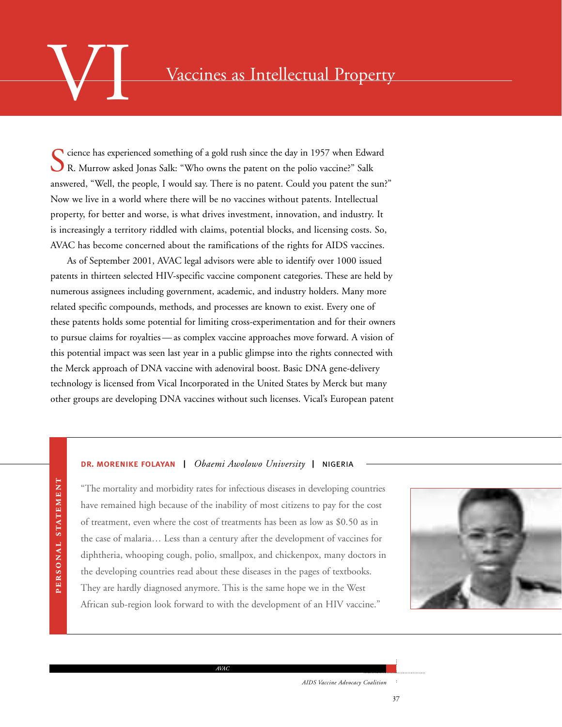### Vaccines as Intellectual Property

Science has experienced something of a gold rush since the day in 1957 when Edward R. Murrow asked Jonas Salk: "Who owns the patent on the polio vaccine?" Salk answered, "Well, the people, I would say. There is no patent. Could you patent the sun?" Now we live in a world where there will be no vaccines without patents. Intellectual property, for better and worse, is what drives investment, innovation, and industry. It is increasingly a territory riddled with claims, potential blocks, and licensing costs. So, AVAC has become concerned about the ramifications of the rights for AIDS vaccines.

As of September 2001, AVAC legal advisors were able to identify over 1000 issued patents in thirteen selected HIV-specific vaccine component categories. These are held by numerous assignees including government, academic, and industry holders. Many more related specific compounds, methods, and processes are known to exist. Every one of these patents holds some potential for limiting cross-experimentation and for their owners to pursue claims for royalties — as complex vaccine approaches move forward. A vision of this potential impact was seen last year in a public glimpse into the rights connected with the Merck approach of DNA vaccine with adenoviral boost. Basic DNA gene-delivery technology is licensed from Vical Incorporated in the United States by Merck but many other groups are developing DNA vaccines without such licenses. Vical's European patent

### dr. morenike folayan | *Obaemi Awolowo University* | nigeria

PERSONAL STATEMENT PERSONAL STATEMENT

"The mortality and morbidity rates for infectious diseases in developing countries have remained high because of the inability of most citizens to pay for the cost of treatment, even where the cost of treatments has been as low as \$0.50 as in the case of malaria… Less than a century after the development of vaccines for diphtheria, whooping cough, polio, smallpox, and chickenpox, many doctors in the developing countries read about these diseases in the pages of textbooks. They are hardly diagnosed anymore. This is the same hope we in the West African sub-region look forward to with the development of an HIV vaccine."

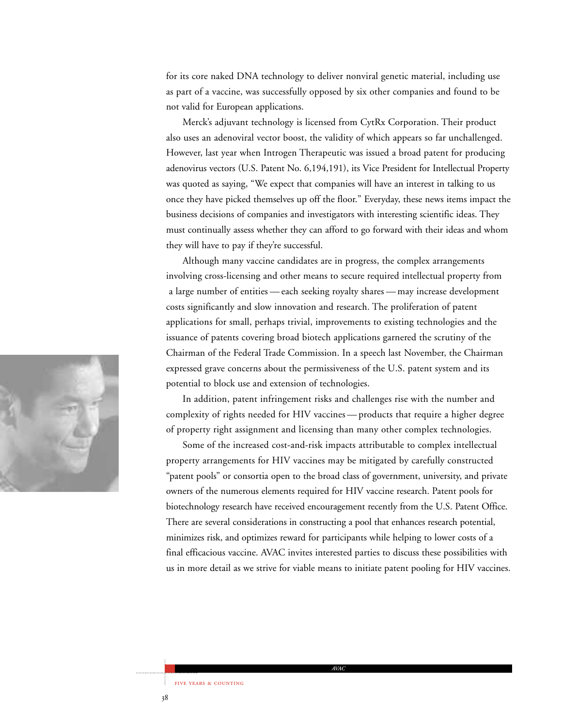for its core naked DNA technology to deliver nonviral genetic material, including use as part of a vaccine, was successfully opposed by six other companies and found to be not valid for European applications.

Merck's adjuvant technology is licensed from CytRx Corporation. Their product also uses an adenoviral vector boost, the validity of which appears so far unchallenged. However, last year when Introgen Therapeutic was issued a broad patent for producing adenovirus vectors (U.S. Patent No. 6,194,191), its Vice President for Intellectual Property was quoted as saying, "We expect that companies will have an interest in talking to us once they have picked themselves up off the floor." Everyday, these news items impact the business decisions of companies and investigators with interesting scientific ideas. They must continually assess whether they can afford to go forward with their ideas and whom they will have to pay if they're successful.

Although many vaccine candidates are in progress, the complex arrangements involving cross-licensing and other means to secure required intellectual property from a large number of entities — each seeking royalty shares — may increase development costs significantly and slow innovation and research. The proliferation of patent applications for small, perhaps trivial, improvements to existing technologies and the issuance of patents covering broad biotech applications garnered the scrutiny of the Chairman of the Federal Trade Commission. In a speech last November, the Chairman expressed grave concerns about the permissiveness of the U.S. patent system and its potential to block use and extension of technologies.

In addition, patent infringement risks and challenges rise with the number and complexity of rights needed for HIV vaccines — products that require a higher degree of property right assignment and licensing than many other complex technologies.

Some of the increased cost-and-risk impacts attributable to complex intellectual property arrangements for HIV vaccines may be mitigated by carefully constructed "patent pools" or consortia open to the broad class of government, university, and private owners of the numerous elements required for HIV vaccine research. Patent pools for biotechnology research have received encouragement recently from the U.S. Patent Office. There are several considerations in constructing a pool that enhances research potential, minimizes risk, and optimizes reward for participants while helping to lower costs of a final efficacious vaccine. AVAC invites interested parties to discuss these possibilities with us in more detail as we strive for viable means to initiate patent pooling for HIV vaccines.

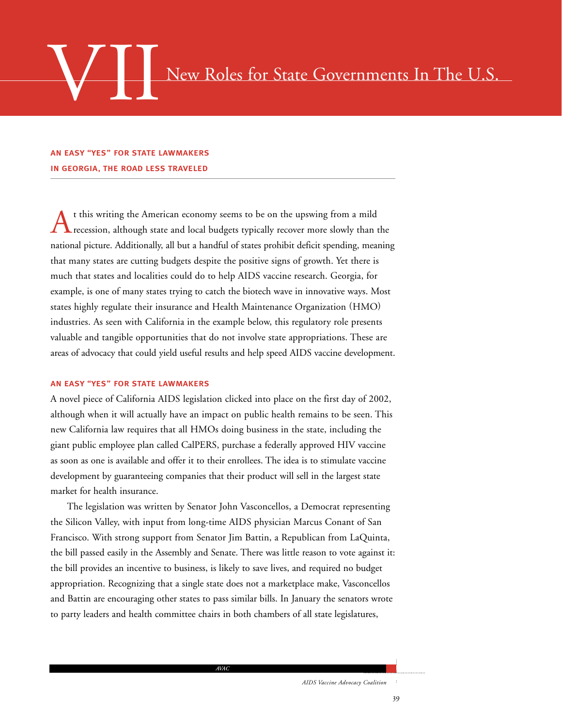## New Roles for State Governments In The U.S.

### an easy "yes" for state lawmakers in georgia, the road less traveled

t this writing the American economy seems to be on the upswing from a mild recession, although state and local budgets typically recover more slowly than the national picture. Additionally, all but a handful of states prohibit deficit spending, meaning that many states are cutting budgets despite the positive signs of growth. Yet there is much that states and localities could do to help AIDS vaccine research. Georgia, for example, is one of many states trying to catch the biotech wave in innovative ways. Most states highly regulate their insurance and Health Maintenance Organization (HMO) industries. As seen with California in the example below, this regulatory role presents valuable and tangible opportunities that do not involve state appropriations. These are areas of advocacy that could yield useful results and help speed AIDS vaccine development.

### an easy "yes" for state lawmakers

A novel piece of California AIDS legislation clicked into place on the first day of 2002, although when it will actually have an impact on public health remains to be seen. This new California law requires that all HMOs doing business in the state, including the giant public employee plan called CalPERS, purchase a federally approved HIV vaccine as soon as one is available and offer it to their enrollees. The idea is to stimulate vaccine development by guaranteeing companies that their product will sell in the largest state market for health insurance.

The legislation was written by Senator John Vasconcellos, a Democrat representing the Silicon Valley, with input from long-time AIDS physician Marcus Conant of San Francisco. With strong support from Senator Jim Battin, a Republican from LaQuinta, the bill passed easily in the Assembly and Senate. There was little reason to vote against it: the bill provides an incentive to business, is likely to save lives, and required no budget appropriation. Recognizing that a single state does not a marketplace make, Vasconcellos and Battin are encouraging other states to pass similar bills. In January the senators wrote to party leaders and health committee chairs in both chambers of all state legislatures,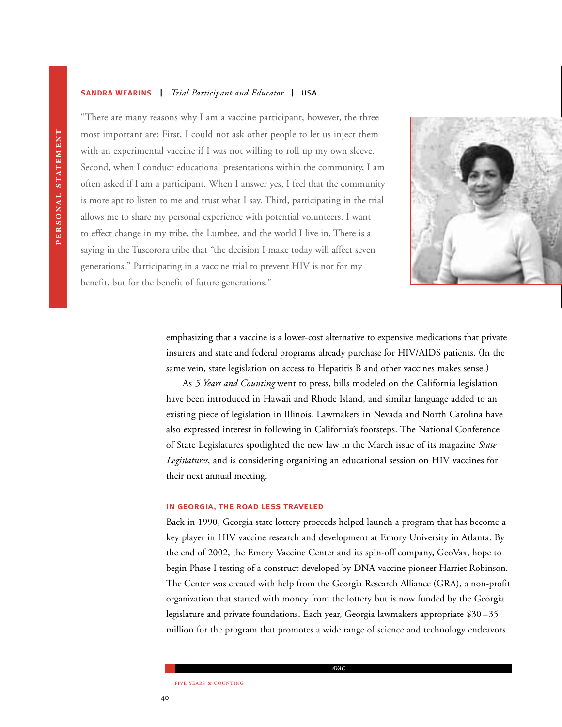### sandra wearins | *Trial Participant and Educator* | usa



"There are many reasons why I am a vaccine participant, however, the three most important are: First, I could not ask other people to let us inject them with an experimental vaccine if I was not willing to roll up my own sleeve. Second, when I conduct educational presentations within the community, I am often asked if I am a participant. When I answer yes, I feel that the community is more apt to listen to me and trust what I say. Third, participating in the trial allows me to share my personal experience with potential volunteers. I want to effect change in my tribe, the Lumbee, and the world I live in. There is a saying in the Tuscorora tribe that "the decision I make today will affect seven generations." Participating in a vaccine trial to prevent HIV is not for my benefit, but for the benefit of future generations."

> emphasizing that a vaccine is a lower-cost alternative to expensive medications that private insurers and state and federal programs already purchase for HIV/AIDS patients. (In the same vein, state legislation on access to Hepatitis B and other vaccines makes sense.)

As *5 Years and Counting* went to press, bills modeled on the California legislation have been introduced in Hawaii and Rhode Island, and similar language added to an existing piece of legislation in Illinois. Lawmakers in Nevada and North Carolina have also expressed interest in following in California's footsteps. The National Conference of State Legislatures spotlighted the new law in the March issue of its magazine *State Legislatures*, and is considering organizing an educational session on HIV vaccines for their next annual meeting.

### in georgia, the road less traveled

Back in 1990, Georgia state lottery proceeds helped launch a program that has become a key player in HIV vaccine research and development at Emory University in Atlanta. By the end of 2002, the Emory Vaccine Center and its spin-off company, GeoVax, hope to begin Phase I testing of a construct developed by DNA-vaccine pioneer Harriet Robinson. The Center was created with help from the Georgia Research Alliance (GRA), a non-profit organization that started with money from the lottery but is now funded by the Georgia legislature and private foundations. Each year, Georgia lawmakers appropriate \$30 –35 million for the program that promotes a wide range of science and technology endeavors.

PERSONAL STATEMENT PERSONAL STATEMENT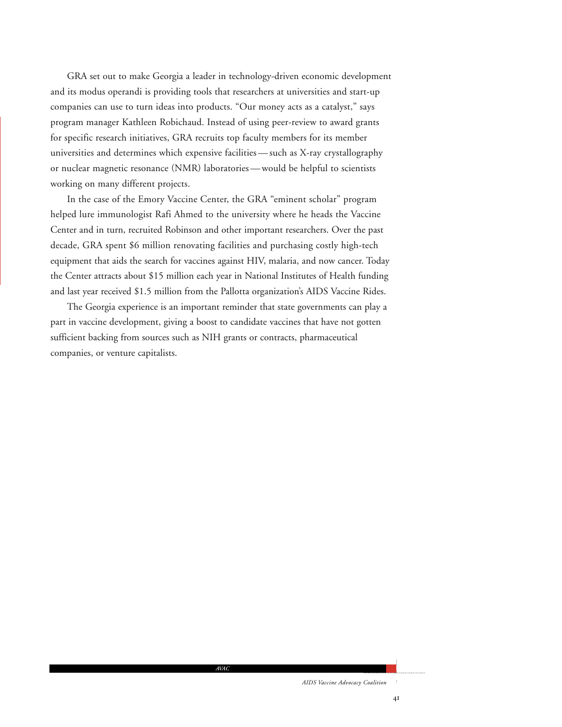GRA set out to make Georgia a leader in technology-driven economic development and its modus operandi is providing tools that researchers at universities and start-up companies can use to turn ideas into products. "Our money acts as a catalyst," says program manager Kathleen Robichaud. Instead of using peer-review to award grants for specific research initiatives, GRA recruits top faculty members for its member universities and determines which expensive facilities — such as X-ray crystallography or nuclear magnetic resonance (NMR) laboratories — would be helpful to scientists working on many different projects.

In the case of the Emory Vaccine Center, the GRA "eminent scholar" program helped lure immunologist Rafi Ahmed to the university where he heads the Vaccine Center and in turn, recruited Robinson and other important researchers. Over the past decade, GRA spent \$6 million renovating facilities and purchasing costly high-tech equipment that aids the search for vaccines against HIV, malaria, and now cancer. Today the Center attracts about \$15 million each year in National Institutes of Health funding and last year received \$1.5 million from the Pallotta organization's AIDS Vaccine Rides.

The Georgia experience is an important reminder that state governments can play a part in vaccine development, giving a boost to candidate vaccines that have not gotten sufficient backing from sources such as NIH grants or contracts, pharmaceutical companies, or venture capitalists.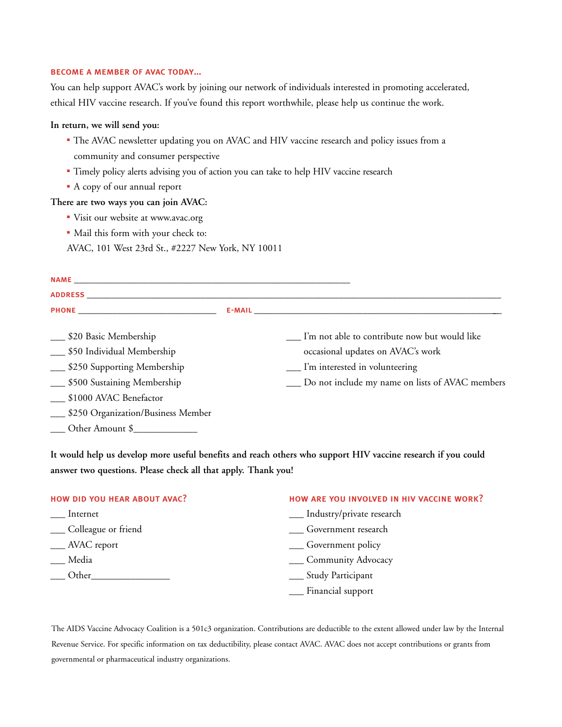### become a member of avac today…

You can help support AVAC's work by joining our network of individuals interested in promoting accelerated, ethical HIV vaccine research. If you've found this report worthwhile, please help us continue the work.

### **In return, we will send you:**

- The AVAC newsletter updating you on AVAC and HIV vaccine research and policy issues from a community and consumer perspective
- Timely policy alerts advising you of action you can take to help HIV vaccine research
- A copy of our annual report

### **There are two ways you can join AVAC:**

- Visit our website at www.avac.org
- Mail this form with your check to:

AVAC, 101 West 23rd St., #2227 New York, NY 10011

| ___ \$20 Basic Membership             |  | __ I'm not able to contribute now but would like |  |  |  |  |  |
|---------------------------------------|--|--------------------------------------------------|--|--|--|--|--|
| __ \$50 Individual Membership         |  | occasional updates on AVAC's work                |  |  |  |  |  |
| __ \$250 Supporting Membership        |  | __ I'm interested in volunteering                |  |  |  |  |  |
| __ \$500 Sustaining Membership        |  | Do not include my name on lists of AVAC members  |  |  |  |  |  |
| __ \$1000 AVAC Benefactor             |  |                                                  |  |  |  |  |  |
| __ \$250 Organization/Business Member |  |                                                  |  |  |  |  |  |
| Other Amount \$                       |  |                                                  |  |  |  |  |  |

**It would help us develop more useful benefits and reach others who support HIV vaccine research if you could answer two questions. Please check all that apply. Thank you!**

| HOW DID YOU HEAR ABOUT AVAC? | HOW ARE YOU INVOLVED IN HIV VACCINE WORK? |
|------------------------------|-------------------------------------------|
| Internet                     | __ Industry/private research              |
| __ Colleague or friend       | <b>Covernment</b> research                |
| __ AVAC report               | __ Government policy                      |
| Media                        | __ Community Advocacy                     |
| Other                        | __ Study Participant                      |
|                              | __ Financial support                      |

The AIDS Vaccine Advocacy Coalition is a 501c3 organization. Contributions are deductible to the extent allowed under law by the Internal Revenue Service. For specific information on tax deductibility, please contact AVAC. AVAC does not accept contributions or grants from governmental or pharmaceutical industry organizations.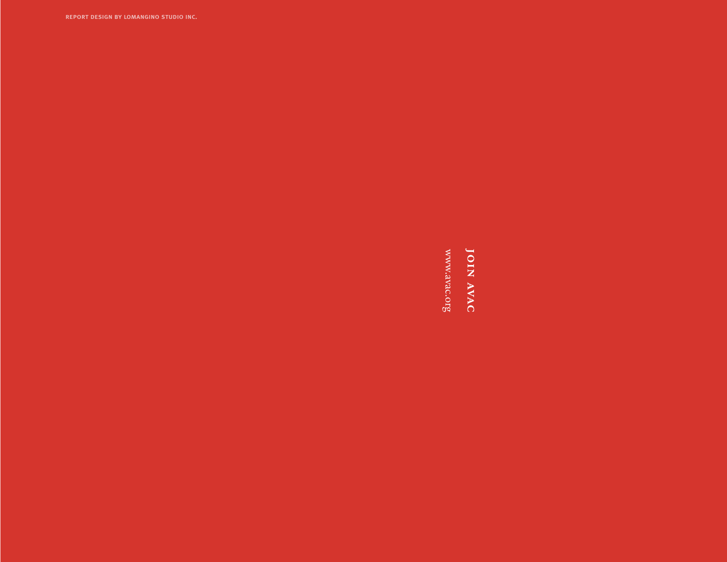report design by lomangino studio inc.

**JOIN AVAC** 

www.avac.org www.avac.org